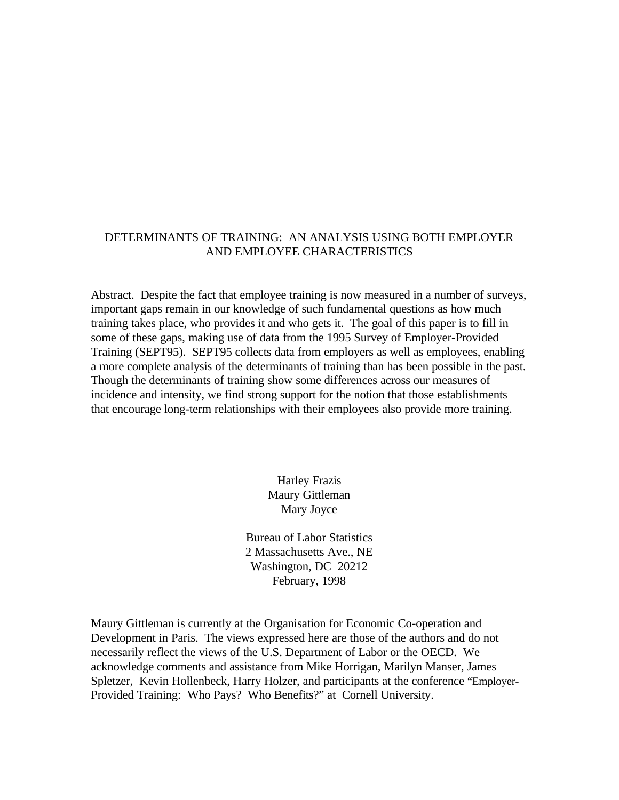### DETERMINANTS OF TRAINING: AN ANALYSIS USING BOTH EMPLOYER AND EMPLOYEE CHARACTERISTICS

Abstract. Despite the fact that employee training is now measured in a number of surveys, important gaps remain in our knowledge of such fundamental questions as how much training takes place, who provides it and who gets it. The goal of this paper is to fill in some of these gaps, making use of data from the 1995 Survey of Employer-Provided Training (SEPT95). SEPT95 collects data from employers as well as employees, enabling a more complete analysis of the determinants of training than has been possible in the past. Though the determinants of training show some differences across our measures of incidence and intensity, we find strong support for the notion that those establishments that encourage long-term relationships with their employees also provide more training.

> Harley Frazis Maury Gittleman Mary Joyce

Bureau of Labor Statistics 2 Massachusetts Ave., NE Washington, DC 20212 February, 1998

Maury Gittleman is currently at the Organisation for Economic Co-operation and Development in Paris. The views expressed here are those of the authors and do not necessarily reflect the views of the U.S. Department of Labor or the OECD. We acknowledge comments and assistance from Mike Horrigan, Marilyn Manser, James Spletzer, Kevin Hollenbeck, Harry Holzer, and participants at the conference "Employer-Provided Training: Who Pays? Who Benefits?" at Cornell University.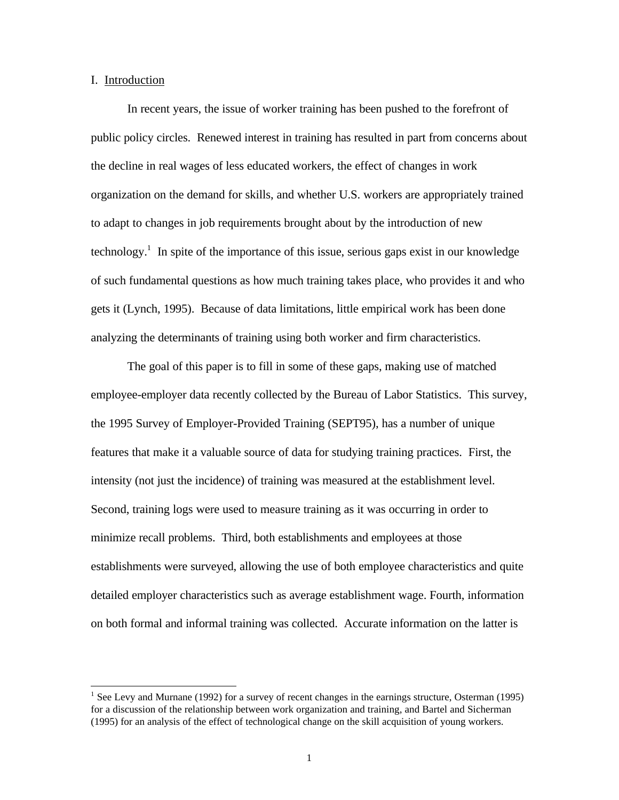### I. Introduction

-

In recent years, the issue of worker training has been pushed to the forefront of public policy circles. Renewed interest in training has resulted in part from concerns about the decline in real wages of less educated workers, the effect of changes in work organization on the demand for skills, and whether U.S. workers are appropriately trained to adapt to changes in job requirements brought about by the introduction of new technology.<sup>1</sup> In spite of the importance of this issue, serious gaps exist in our knowledge of such fundamental questions as how much training takes place, who provides it and who gets it (Lynch, 1995). Because of data limitations, little empirical work has been done analyzing the determinants of training using both worker and firm characteristics.

The goal of this paper is to fill in some of these gaps, making use of matched employee-employer data recently collected by the Bureau of Labor Statistics. This survey, the 1995 Survey of Employer-Provided Training (SEPT95), has a number of unique features that make it a valuable source of data for studying training practices. First, the intensity (not just the incidence) of training was measured at the establishment level. Second, training logs were used to measure training as it was occurring in order to minimize recall problems. Third, both establishments and employees at those establishments were surveyed, allowing the use of both employee characteristics and quite detailed employer characteristics such as average establishment wage. Fourth, information on both formal and informal training was collected. Accurate information on the latter is

<sup>&</sup>lt;sup>1</sup> See Levy and Murnane (1992) for a survey of recent changes in the earnings structure, Osterman (1995) for a discussion of the relationship between work organization and training, and Bartel and Sicherman (1995) for an analysis of the effect of technological change on the skill acquisition of young workers.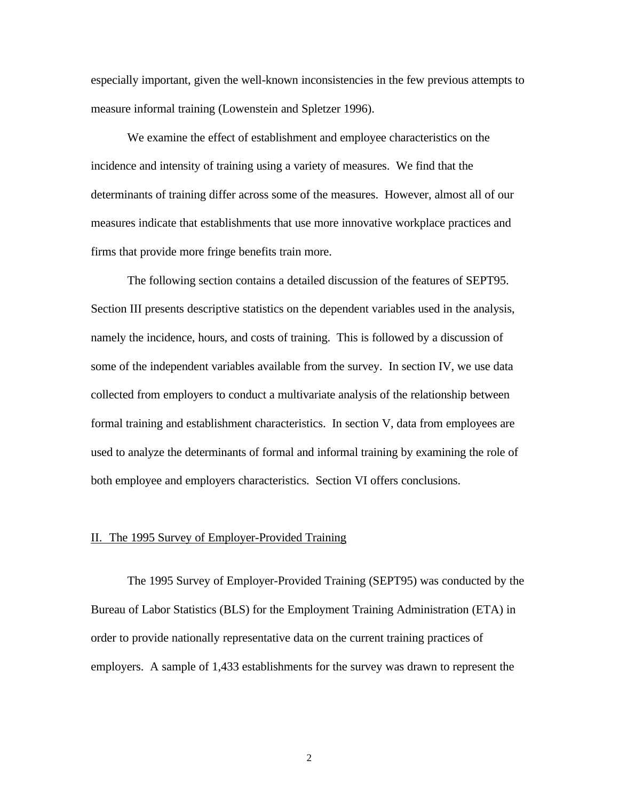especially important, given the well-known inconsistencies in the few previous attempts to measure informal training (Lowenstein and Spletzer 1996).

We examine the effect of establishment and employee characteristics on the incidence and intensity of training using a variety of measures. We find that the determinants of training differ across some of the measures. However, almost all of our measures indicate that establishments that use more innovative workplace practices and firms that provide more fringe benefits train more.

The following section contains a detailed discussion of the features of SEPT95. Section III presents descriptive statistics on the dependent variables used in the analysis, namely the incidence, hours, and costs of training. This is followed by a discussion of some of the independent variables available from the survey. In section IV, we use data collected from employers to conduct a multivariate analysis of the relationship between formal training and establishment characteristics. In section V, data from employees are used to analyze the determinants of formal and informal training by examining the role of both employee and employers characteristics. Section VI offers conclusions.

#### II. The 1995 Survey of Employer-Provided Training

The 1995 Survey of Employer-Provided Training (SEPT95) was conducted by the Bureau of Labor Statistics (BLS) for the Employment Training Administration (ETA) in order to provide nationally representative data on the current training practices of employers. A sample of 1,433 establishments for the survey was drawn to represent the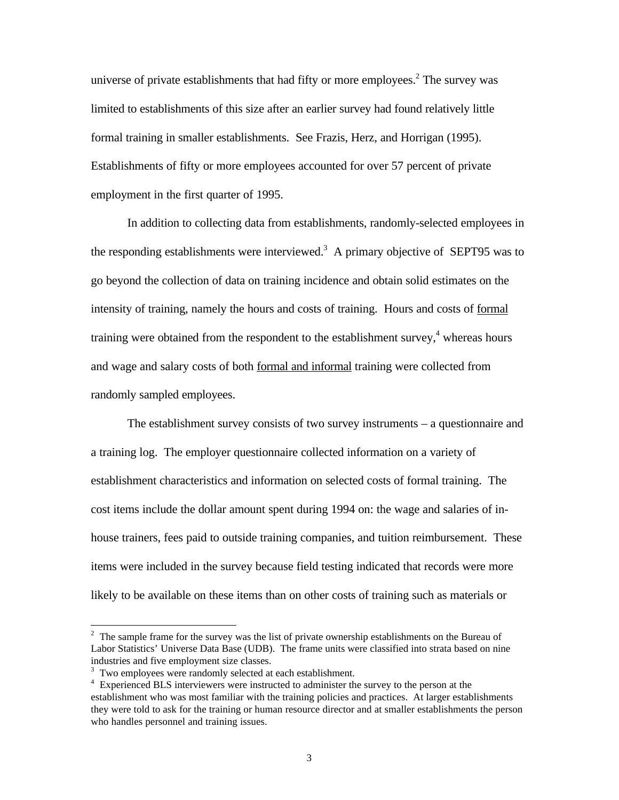universe of private establishments that had fifty or more employees.<sup>2</sup> The survey was limited to establishments of this size after an earlier survey had found relatively little formal training in smaller establishments. See Frazis, Herz, and Horrigan (1995). Establishments of fifty or more employees accounted for over 57 percent of private employment in the first quarter of 1995.

In addition to collecting data from establishments, randomly-selected employees in the responding establishments were interviewed.<sup>3</sup> A primary objective of SEPT95 was to go beyond the collection of data on training incidence and obtain solid estimates on the intensity of training, namely the hours and costs of training. Hours and costs of formal training were obtained from the respondent to the establishment survey,<sup>4</sup> whereas hours and wage and salary costs of both formal and informal training were collected from randomly sampled employees.

The establishment survey consists of two survey instruments – a questionnaire and a training log. The employer questionnaire collected information on a variety of establishment characteristics and information on selected costs of formal training. The cost items include the dollar amount spent during 1994 on: the wage and salaries of inhouse trainers, fees paid to outside training companies, and tuition reimbursement. These items were included in the survey because field testing indicated that records were more likely to be available on these items than on other costs of training such as materials or

 $2<sup>2</sup>$  The sample frame for the survey was the list of private ownership establishments on the Bureau of Labor Statistics' Universe Data Base (UDB). The frame units were classified into strata based on nine industries and five employment size classes.

 $3$  Two employees were randomly selected at each establishment.

<sup>&</sup>lt;sup>4</sup> Experienced BLS interviewers were instructed to administer the survey to the person at the establishment who was most familiar with the training policies and practices. At larger establishments they were told to ask for the training or human resource director and at smaller establishments the person who handles personnel and training issues.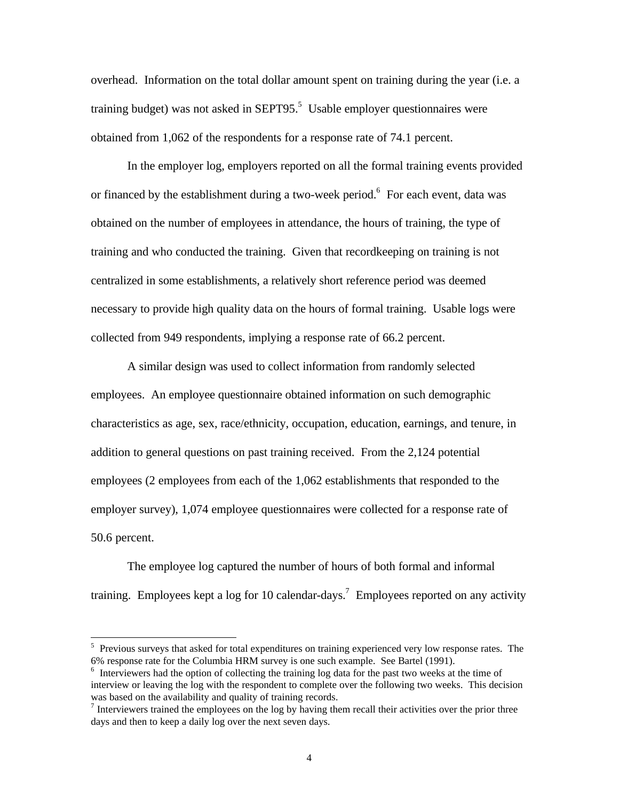overhead. Information on the total dollar amount spent on training during the year (i.e. a training budget) was not asked in SEPT95. $5$  Usable employer questionnaires were obtained from 1,062 of the respondents for a response rate of 74.1 percent.

In the employer log, employers reported on all the formal training events provided or financed by the establishment during a two-week period.<sup>6</sup> For each event, data was obtained on the number of employees in attendance, the hours of training, the type of training and who conducted the training. Given that recordkeeping on training is not centralized in some establishments, a relatively short reference period was deemed necessary to provide high quality data on the hours of formal training. Usable logs were collected from 949 respondents, implying a response rate of 66.2 percent.

A similar design was used to collect information from randomly selected employees. An employee questionnaire obtained information on such demographic characteristics as age, sex, race/ethnicity, occupation, education, earnings, and tenure, in addition to general questions on past training received. From the 2,124 potential employees (2 employees from each of the 1,062 establishments that responded to the employer survey), 1,074 employee questionnaires were collected for a response rate of 50.6 percent.

The employee log captured the number of hours of both formal and informal training. Employees kept a log for 10 calendar-days.<sup>7</sup> Employees reported on any activity

-

<sup>&</sup>lt;sup>5</sup> Previous surveys that asked for total expenditures on training experienced very low response rates. The 6% response rate for the Columbia HRM survey is one such example. See Bartel (1991).

<sup>&</sup>lt;sup>6</sup> Interviewers had the option of collecting the training log data for the past two weeks at the time of interview or leaving the log with the respondent to complete over the following two weeks. This decision was based on the availability and quality of training records.

Interviewers trained the employees on the log by having them recall their activities over the prior three days and then to keep a daily log over the next seven days.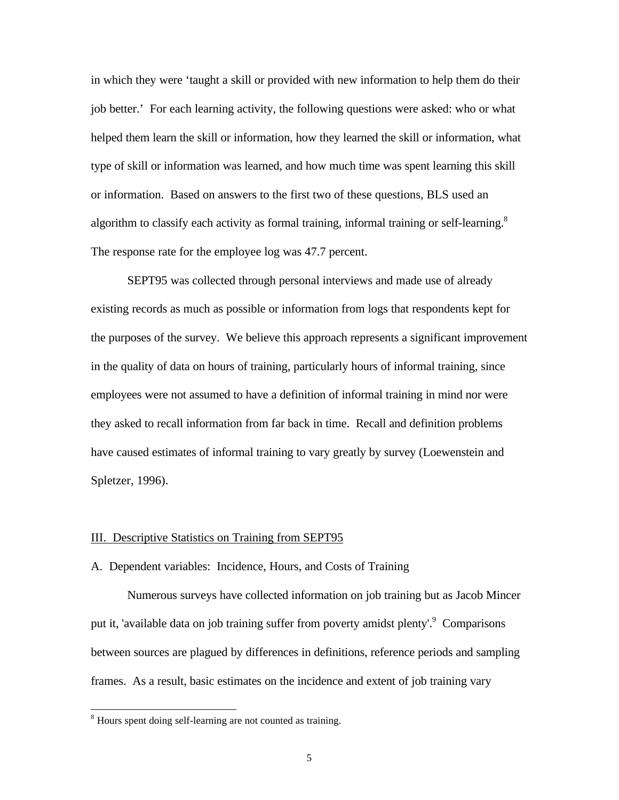in which they were 'taught a skill or provided with new information to help them do their job better.' For each learning activity, the following questions were asked: who or what helped them learn the skill or information, how they learned the skill or information, what type of skill or information was learned, and how much time was spent learning this skill or information. Based on answers to the first two of these questions, BLS used an algorithm to classify each activity as formal training, informal training or self-learning.<sup>8</sup> The response rate for the employee log was 47.7 percent.

SEPT95 was collected through personal interviews and made use of already existing records as much as possible or information from logs that respondents kept for the purposes of the survey. We believe this approach represents a significant improvement in the quality of data on hours of training, particularly hours of informal training, since employees were not assumed to have a definition of informal training in mind nor were they asked to recall information from far back in time. Recall and definition problems have caused estimates of informal training to vary greatly by survey (Loewenstein and Spletzer, 1996).

#### III. Descriptive Statistics on Training from SEPT95

A. Dependent variables: Incidence, Hours, and Costs of Training

Numerous surveys have collected information on job training but as Jacob Mincer put it, 'available data on job training suffer from poverty amidst plenty'.<sup>9</sup> Comparisons between sources are plagued by differences in definitions, reference periods and sampling frames. As a result, basic estimates on the incidence and extent of job training vary

<sup>&</sup>lt;sup>8</sup> Hours spent doing self-learning are not counted as training.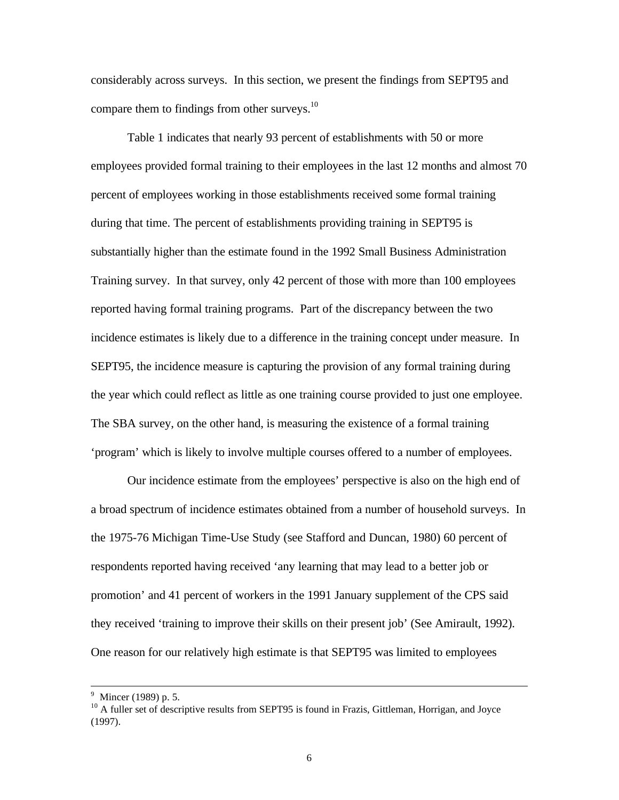considerably across surveys. In this section, we present the findings from SEPT95 and compare them to findings from other surveys.<sup>10</sup>

Table 1 indicates that nearly 93 percent of establishments with 50 or more employees provided formal training to their employees in the last 12 months and almost 70 percent of employees working in those establishments received some formal training during that time. The percent of establishments providing training in SEPT95 is substantially higher than the estimate found in the 1992 Small Business Administration Training survey. In that survey, only 42 percent of those with more than 100 employees reported having formal training programs. Part of the discrepancy between the two incidence estimates is likely due to a difference in the training concept under measure. In SEPT95, the incidence measure is capturing the provision of any formal training during the year which could reflect as little as one training course provided to just one employee. The SBA survey, on the other hand, is measuring the existence of a formal training 'program' which is likely to involve multiple courses offered to a number of employees.

Our incidence estimate from the employees' perspective is also on the high end of a broad spectrum of incidence estimates obtained from a number of household surveys. In the 1975-76 Michigan Time-Use Study (see Stafford and Duncan, 1980) 60 percent of respondents reported having received 'any learning that may lead to a better job or promotion' and 41 percent of workers in the 1991 January supplement of the CPS said they received 'training to improve their skills on their present job' (See Amirault, 1992). One reason for our relatively high estimate is that SEPT95 was limited to employees

-

<sup>&</sup>lt;sup>9</sup> Mincer (1989) p. 5.

<sup>&</sup>lt;sup>10</sup> A fuller set of descriptive results from SEPT95 is found in Frazis, Gittleman, Horrigan, and Joyce (1997).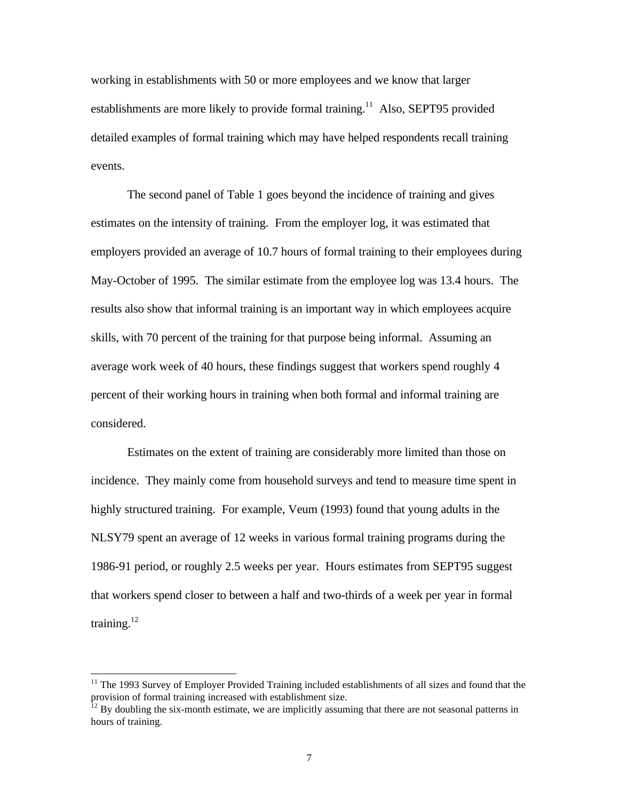working in establishments with 50 or more employees and we know that larger establishments are more likely to provide formal training.<sup>11</sup> Also, SEPT95 provided detailed examples of formal training which may have helped respondents recall training events.

The second panel of Table 1 goes beyond the incidence of training and gives estimates on the intensity of training. From the employer log, it was estimated that employers provided an average of 10.7 hours of formal training to their employees during May-October of 1995. The similar estimate from the employee log was 13.4 hours. The results also show that informal training is an important way in which employees acquire skills, with 70 percent of the training for that purpose being informal. Assuming an average work week of 40 hours, these findings suggest that workers spend roughly 4 percent of their working hours in training when both formal and informal training are considered.

Estimates on the extent of training are considerably more limited than those on incidence. They mainly come from household surveys and tend to measure time spent in highly structured training. For example, Veum (1993) found that young adults in the NLSY79 spent an average of 12 weeks in various formal training programs during the 1986-91 period, or roughly 2.5 weeks per year. Hours estimates from SEPT95 suggest that workers spend closer to between a half and two-thirds of a week per year in formal training. $12$ 

<sup>&</sup>lt;sup>11</sup> The 1993 Survey of Employer Provided Training included establishments of all sizes and found that the provision of formal training increased with establishment size.

 $12$  By doubling the six-month estimate, we are implicitly assuming that there are not seasonal patterns in hours of training.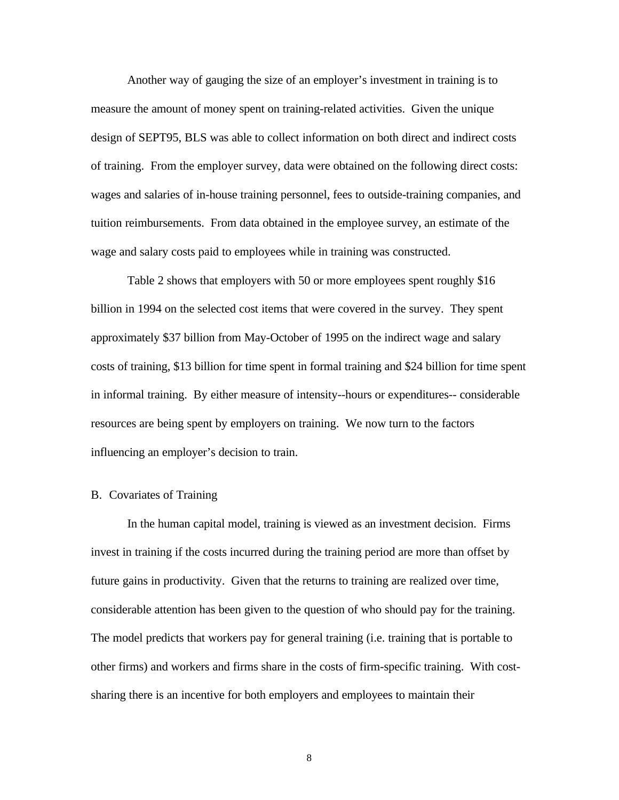Another way of gauging the size of an employer's investment in training is to measure the amount of money spent on training-related activities. Given the unique design of SEPT95, BLS was able to collect information on both direct and indirect costs of training. From the employer survey, data were obtained on the following direct costs: wages and salaries of in-house training personnel, fees to outside-training companies, and tuition reimbursements. From data obtained in the employee survey, an estimate of the wage and salary costs paid to employees while in training was constructed.

Table 2 shows that employers with 50 or more employees spent roughly \$16 billion in 1994 on the selected cost items that were covered in the survey. They spent approximately \$37 billion from May-October of 1995 on the indirect wage and salary costs of training, \$13 billion for time spent in formal training and \$24 billion for time spent in informal training. By either measure of intensity--hours or expenditures-- considerable resources are being spent by employers on training. We now turn to the factors influencing an employer's decision to train.

#### B. Covariates of Training

In the human capital model, training is viewed as an investment decision. Firms invest in training if the costs incurred during the training period are more than offset by future gains in productivity. Given that the returns to training are realized over time, considerable attention has been given to the question of who should pay for the training. The model predicts that workers pay for general training (i.e. training that is portable to other firms) and workers and firms share in the costs of firm-specific training. With costsharing there is an incentive for both employers and employees to maintain their

8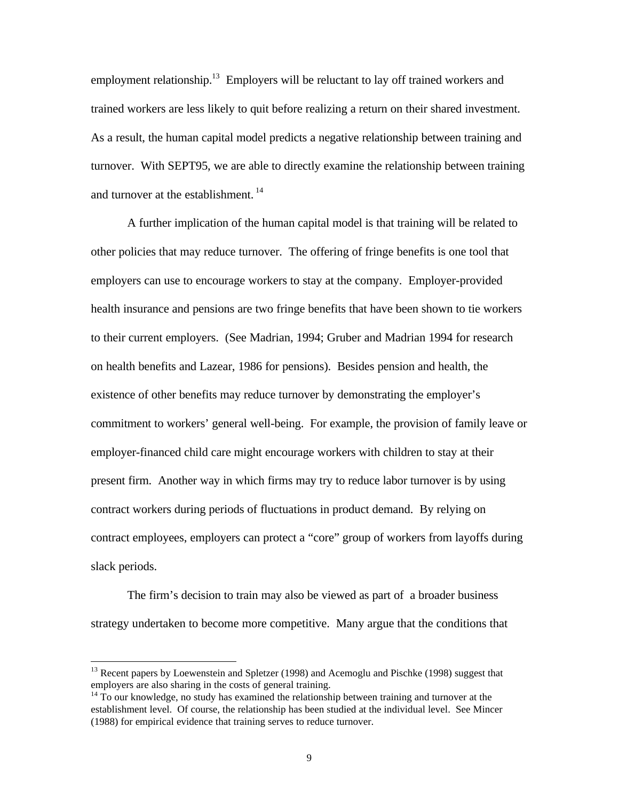employment relationship.<sup>13</sup> Employers will be reluctant to lay off trained workers and trained workers are less likely to quit before realizing a return on their shared investment. As a result, the human capital model predicts a negative relationship between training and turnover. With SEPT95, we are able to directly examine the relationship between training and turnover at the establishment.<sup>14</sup>

A further implication of the human capital model is that training will be related to other policies that may reduce turnover. The offering of fringe benefits is one tool that employers can use to encourage workers to stay at the company. Employer-provided health insurance and pensions are two fringe benefits that have been shown to tie workers to their current employers. (See Madrian, 1994; Gruber and Madrian 1994 for research on health benefits and Lazear, 1986 for pensions). Besides pension and health, the existence of other benefits may reduce turnover by demonstrating the employer's commitment to workers' general well-being. For example, the provision of family leave or employer-financed child care might encourage workers with children to stay at their present firm. Another way in which firms may try to reduce labor turnover is by using contract workers during periods of fluctuations in product demand. By relying on contract employees, employers can protect a "core" group of workers from layoffs during slack periods.

The firm's decision to train may also be viewed as part of a broader business strategy undertaken to become more competitive. Many argue that the conditions that

-

<sup>&</sup>lt;sup>13</sup> Recent papers by Loewenstein and Spletzer (1998) and Acemoglu and Pischke (1998) suggest that employers are also sharing in the costs of general training.

 $14$  To our knowledge, no study has examined the relationship between training and turnover at the establishment level. Of course, the relationship has been studied at the individual level. See Mincer (1988) for empirical evidence that training serves to reduce turnover.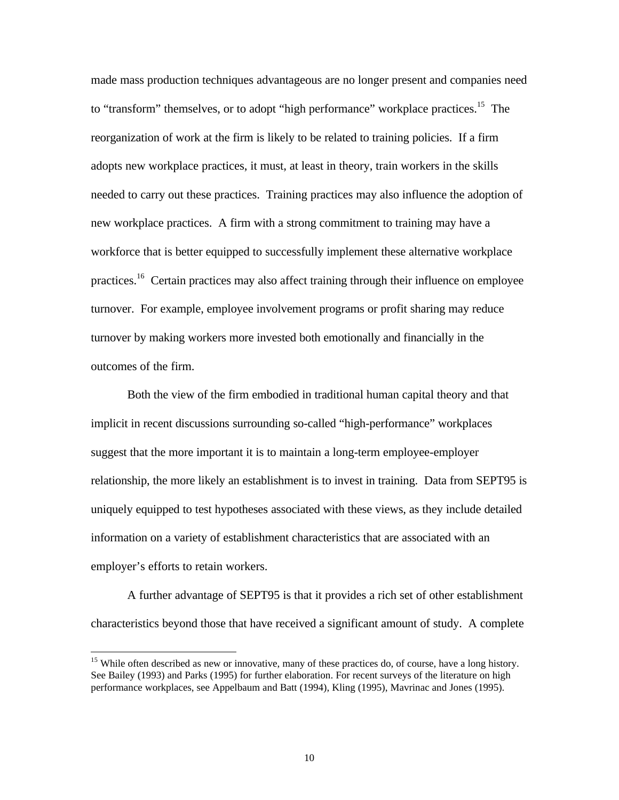made mass production techniques advantageous are no longer present and companies need to "transform" themselves, or to adopt "high performance" workplace practices.<sup>15</sup> The reorganization of work at the firm is likely to be related to training policies. If a firm adopts new workplace practices, it must, at least in theory, train workers in the skills needed to carry out these practices. Training practices may also influence the adoption of new workplace practices. A firm with a strong commitment to training may have a workforce that is better equipped to successfully implement these alternative workplace practices.<sup>16</sup> Certain practices may also affect training through their influence on employee turnover. For example, employee involvement programs or profit sharing may reduce turnover by making workers more invested both emotionally and financially in the outcomes of the firm.

Both the view of the firm embodied in traditional human capital theory and that implicit in recent discussions surrounding so-called "high-performance" workplaces suggest that the more important it is to maintain a long-term employee-employer relationship, the more likely an establishment is to invest in training. Data from SEPT95 is uniquely equipped to test hypotheses associated with these views, as they include detailed information on a variety of establishment characteristics that are associated with an employer's efforts to retain workers.

A further advantage of SEPT95 is that it provides a rich set of other establishment characteristics beyond those that have received a significant amount of study. A complete

1

<sup>&</sup>lt;sup>15</sup> While often described as new or innovative, many of these practices do, of course, have a long history. See Bailey (1993) and Parks (1995) for further elaboration. For recent surveys of the literature on high performance workplaces, see Appelbaum and Batt (1994), Kling (1995), Mavrinac and Jones (1995).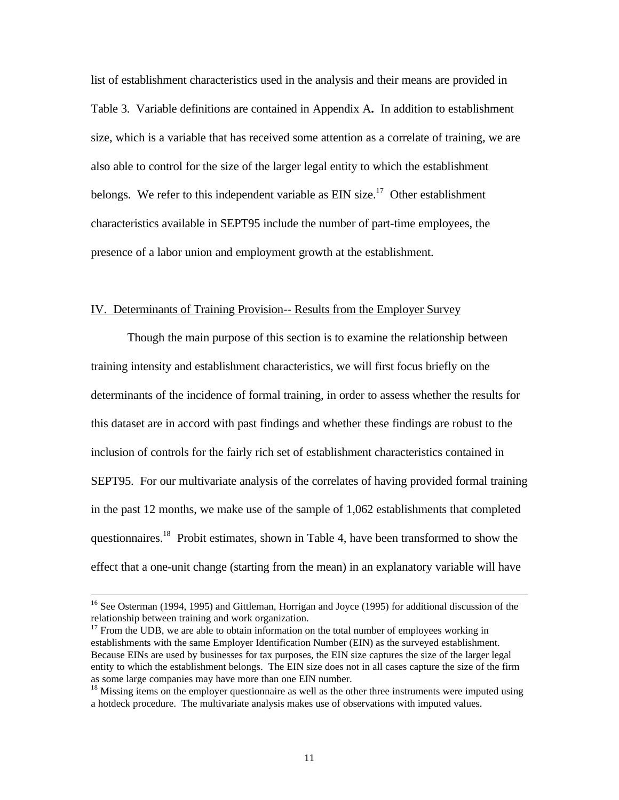list of establishment characteristics used in the analysis and their means are provided in Table 3. Variable definitions are contained in Appendix A**.** In addition to establishment size, which is a variable that has received some attention as a correlate of training, we are also able to control for the size of the larger legal entity to which the establishment belongs. We refer to this independent variable as  $EIN$  size.<sup>17</sup> Other establishment characteristics available in SEPT95 include the number of part-time employees, the presence of a labor union and employment growth at the establishment.

#### IV. Determinants of Training Provision-- Results from the Employer Survey

Though the main purpose of this section is to examine the relationship between training intensity and establishment characteristics, we will first focus briefly on the determinants of the incidence of formal training, in order to assess whether the results for this dataset are in accord with past findings and whether these findings are robust to the inclusion of controls for the fairly rich set of establishment characteristics contained in SEPT95. For our multivariate analysis of the correlates of having provided formal training in the past 12 months, we make use of the sample of 1,062 establishments that completed questionnaires.<sup>18</sup> Probit estimates, shown in Table 4, have been transformed to show the effect that a one-unit change (starting from the mean) in an explanatory variable will have

-

<sup>&</sup>lt;sup>16</sup> See Osterman (1994, 1995) and Gittleman, Horrigan and Joyce (1995) for additional discussion of the relationship between training and work organization.

 $17$  From the UDB, we are able to obtain information on the total number of employees working in establishments with the same Employer Identification Number (EIN) as the surveyed establishment. Because EINs are used by businesses for tax purposes, the EIN size captures the size of the larger legal entity to which the establishment belongs. The EIN size does not in all cases capture the size of the firm as some large companies may have more than one EIN number.

 $18$  Missing items on the employer questionnaire as well as the other three instruments were imputed using a hotdeck procedure. The multivariate analysis makes use of observations with imputed values.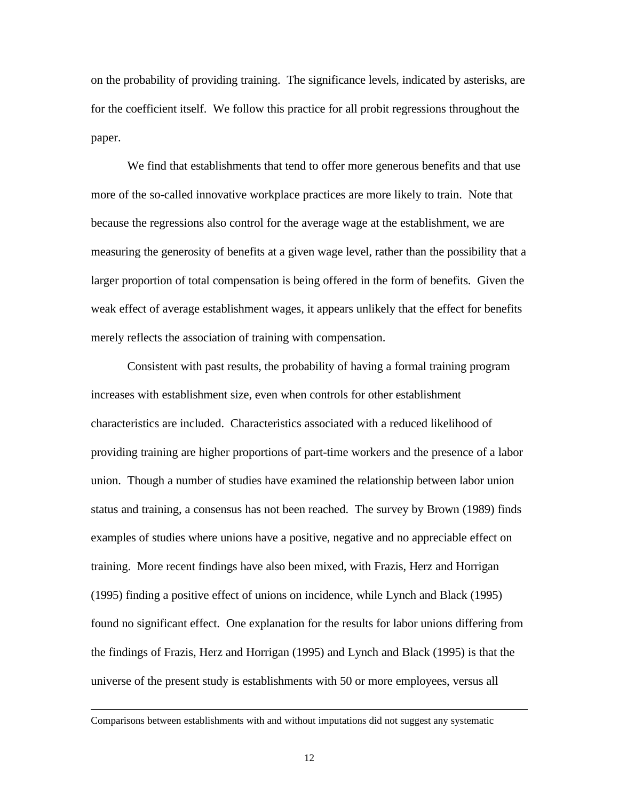on the probability of providing training. The significance levels, indicated by asterisks, are for the coefficient itself. We follow this practice for all probit regressions throughout the paper.

We find that establishments that tend to offer more generous benefits and that use more of the so-called innovative workplace practices are more likely to train. Note that because the regressions also control for the average wage at the establishment, we are measuring the generosity of benefits at a given wage level, rather than the possibility that a larger proportion of total compensation is being offered in the form of benefits. Given the weak effect of average establishment wages, it appears unlikely that the effect for benefits merely reflects the association of training with compensation.

Consistent with past results, the probability of having a formal training program increases with establishment size, even when controls for other establishment characteristics are included. Characteristics associated with a reduced likelihood of providing training are higher proportions of part-time workers and the presence of a labor union. Though a number of studies have examined the relationship between labor union status and training, a consensus has not been reached. The survey by Brown (1989) finds examples of studies where unions have a positive, negative and no appreciable effect on training. More recent findings have also been mixed, with Frazis, Herz and Horrigan (1995) finding a positive effect of unions on incidence, while Lynch and Black (1995) found no significant effect. One explanation for the results for labor unions differing from the findings of Frazis, Herz and Horrigan (1995) and Lynch and Black (1995) is that the universe of the present study is establishments with 50 or more employees, versus all

Comparisons between establishments with and without imputations did not suggest any systematic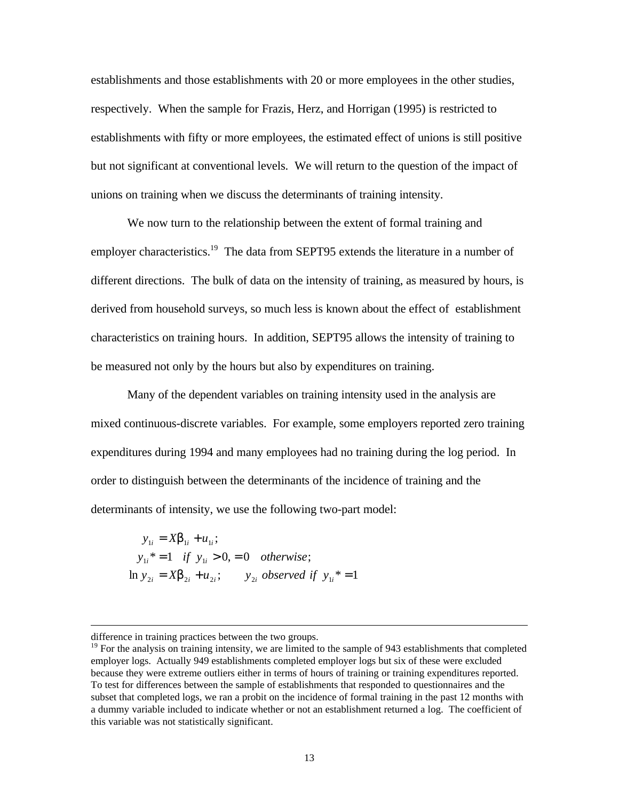establishments and those establishments with 20 or more employees in the other studies, respectively. When the sample for Frazis, Herz, and Horrigan (1995) is restricted to establishments with fifty or more employees, the estimated effect of unions is still positive but not significant at conventional levels. We will return to the question of the impact of unions on training when we discuss the determinants of training intensity.

We now turn to the relationship between the extent of formal training and employer characteristics.<sup>19</sup> The data from SEPT95 extends the literature in a number of different directions. The bulk of data on the intensity of training, as measured by hours, is derived from household surveys, so much less is known about the effect of establishment characteristics on training hours. In addition, SEPT95 allows the intensity of training to be measured not only by the hours but also by expenditures on training.

Many of the dependent variables on training intensity used in the analysis are mixed continuous-discrete variables. For example, some employers reported zero training expenditures during 1994 and many employees had no training during the log period. In order to distinguish between the determinants of the incidence of training and the determinants of intensity, we use the following two-part model:

 $\ln y_{2i} = Xb_{2i} + u_{2i};$  *y*<sub>2*i*</sub> observed if  $y_{1i}^* = 1$  $y_{1i}^* = 1$  *if*  $y_{1i} > 0, = 0$  *otherwise*;  $y_{1i} = Xb_{1i} + u_{1i}$ ;

difference in training practices between the two groups.

 $19$  For the analysis on training intensity, we are limited to the sample of 943 establishments that completed employer logs. Actually 949 establishments completed employer logs but six of these were excluded because they were extreme outliers either in terms of hours of training or training expenditures reported. To test for differences between the sample of establishments that responded to questionnaires and the subset that completed logs, we ran a probit on the incidence of formal training in the past 12 months with a dummy variable included to indicate whether or not an establishment returned a log. The coefficient of this variable was not statistically significant.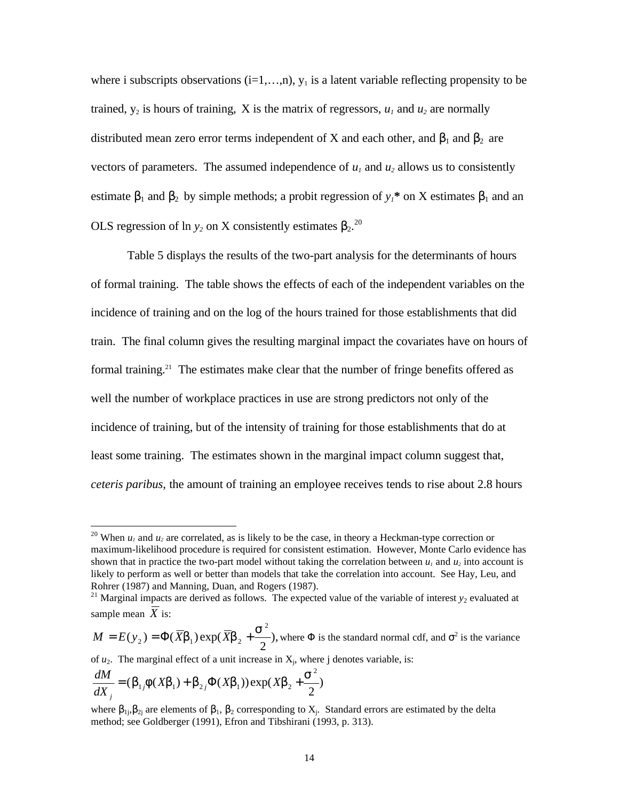where i subscripts observations  $(i=1,...,n)$ ,  $y_1$  is a latent variable reflecting propensity to be trained,  $y_2$  is hours of training, X is the matrix of regressors,  $u_1$  and  $u_2$  are normally distributed mean zero error terms independent of X and each other, and  $\beta_1$  and  $\beta_2$  are vectors of parameters. The assumed independence of  $u_1$  and  $u_2$  allows us to consistently estimate  $\beta_1$  and  $\beta_2$  by simple methods; a probit regression of  $y_1$ <sup>\*</sup> on X estimates  $\beta_1$  and an OLS regression of ln  $y_2$  on X consistently estimates  $β_2$ <sup>20</sup>

Table 5 displays the results of the two-part analysis for the determinants of hours of formal training. The table shows the effects of each of the independent variables on the incidence of training and on the log of the hours trained for those establishments that did train. The final column gives the resulting marginal impact the covariates have on hours of formal training.<sup>21</sup> The estimates make clear that the number of fringe benefits offered as well the number of workplace practices in use are strong predictors not only of the incidence of training, but of the intensity of training for those establishments that do at least some training. The estimates shown in the marginal impact column suggest that, *ceteris paribus*, the amount of training an employee receives tends to rise about 2.8 hours

), 2  $(y_2) = \Phi(Xb_1) \exp(\Phi(Xb_2))$ 2  $_2$ ) –  $\mathbf{P}(\mathbf{\Lambda}\mathbf{v}_1)$   $\mathbf{C}\mathbf{\Lambda}\mathbf{p}(\mathbf{\Lambda}\mathbf{v}_2)$  $M = E(y_2) = \Phi(\overline{X} \mathbf{b}_1) \exp(\overline{X} \mathbf{b}_2 + \frac{\mathbf{s}^2}{2})$ , where  $\Phi$  is the standard normal cdf, and  $\sigma^2$  is the variance of  $u_2$ . The marginal effect of a unit increase in  $X_j$ , where j denotes variable, is: 2 *s dM*

$$
\frac{dM}{dX_j} = (\boldsymbol{b}_{1j}\boldsymbol{f}(X\boldsymbol{b}_1) + \boldsymbol{b}_{2j}\boldsymbol{\Phi}(X\boldsymbol{b}_1))\exp(X\boldsymbol{b}_2 + \frac{\boldsymbol{s}^2}{2})
$$

-

<sup>&</sup>lt;sup>20</sup> When  $u_1$  and  $u_2$  are correlated, as is likely to be the case, in theory a Heckman-type correction or maximum-likelihood procedure is required for consistent estimation. However, Monte Carlo evidence has shown that in practice the two-part model without taking the correlation between  $u_1$  and  $u_2$  into account is likely to perform as well or better than models that take the correlation into account. See Hay, Leu, and Rohrer (1987) and Manning, Duan, and Rogers (1987).

<sup>&</sup>lt;sup>21</sup> Marginal impacts are derived as follows. The expected value of the variable of interest  $y_2$  evaluated at sample mean  $\overline{X}$  is:

where  $\beta_{1j}, \beta_{2j}$  are elements of  $\beta_1, \beta_2$  corresponding to  $X_j$ . Standard errors are estimated by the delta method; see Goldberger (1991), Efron and Tibshirani (1993, p. 313).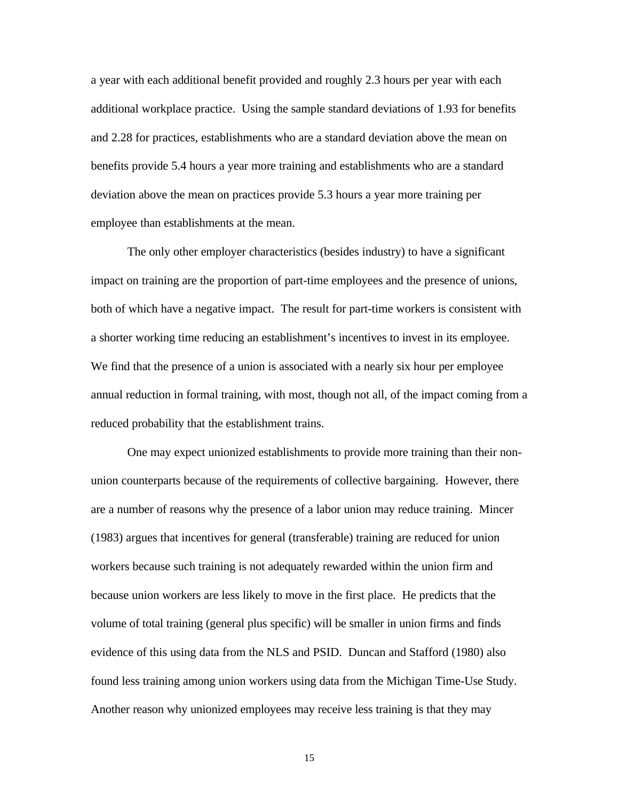a year with each additional benefit provided and roughly 2.3 hours per year with each additional workplace practice. Using the sample standard deviations of 1.93 for benefits and 2.28 for practices, establishments who are a standard deviation above the mean on benefits provide 5.4 hours a year more training and establishments who are a standard deviation above the mean on practices provide 5.3 hours a year more training per employee than establishments at the mean.

The only other employer characteristics (besides industry) to have a significant impact on training are the proportion of part-time employees and the presence of unions, both of which have a negative impact. The result for part-time workers is consistent with a shorter working time reducing an establishment's incentives to invest in its employee. We find that the presence of a union is associated with a nearly six hour per employee annual reduction in formal training, with most, though not all, of the impact coming from a reduced probability that the establishment trains.

One may expect unionized establishments to provide more training than their nonunion counterparts because of the requirements of collective bargaining. However, there are a number of reasons why the presence of a labor union may reduce training. Mincer (1983) argues that incentives for general (transferable) training are reduced for union workers because such training is not adequately rewarded within the union firm and because union workers are less likely to move in the first place. He predicts that the volume of total training (general plus specific) will be smaller in union firms and finds evidence of this using data from the NLS and PSID. Duncan and Stafford (1980) also found less training among union workers using data from the Michigan Time-Use Study. Another reason why unionized employees may receive less training is that they may

15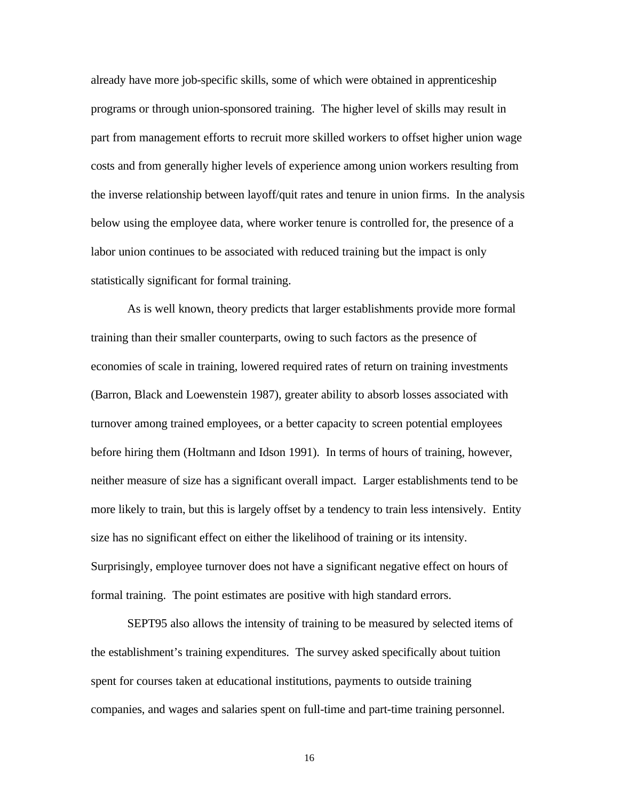already have more job-specific skills, some of which were obtained in apprenticeship programs or through union-sponsored training. The higher level of skills may result in part from management efforts to recruit more skilled workers to offset higher union wage costs and from generally higher levels of experience among union workers resulting from the inverse relationship between layoff/quit rates and tenure in union firms. In the analysis below using the employee data, where worker tenure is controlled for, the presence of a labor union continues to be associated with reduced training but the impact is only statistically significant for formal training.

As is well known, theory predicts that larger establishments provide more formal training than their smaller counterparts, owing to such factors as the presence of economies of scale in training, lowered required rates of return on training investments (Barron, Black and Loewenstein 1987), greater ability to absorb losses associated with turnover among trained employees, or a better capacity to screen potential employees before hiring them (Holtmann and Idson 1991). In terms of hours of training, however, neither measure of size has a significant overall impact. Larger establishments tend to be more likely to train, but this is largely offset by a tendency to train less intensively. Entity size has no significant effect on either the likelihood of training or its intensity. Surprisingly, employee turnover does not have a significant negative effect on hours of formal training. The point estimates are positive with high standard errors.

SEPT95 also allows the intensity of training to be measured by selected items of the establishment's training expenditures. The survey asked specifically about tuition spent for courses taken at educational institutions, payments to outside training companies, and wages and salaries spent on full-time and part-time training personnel.

16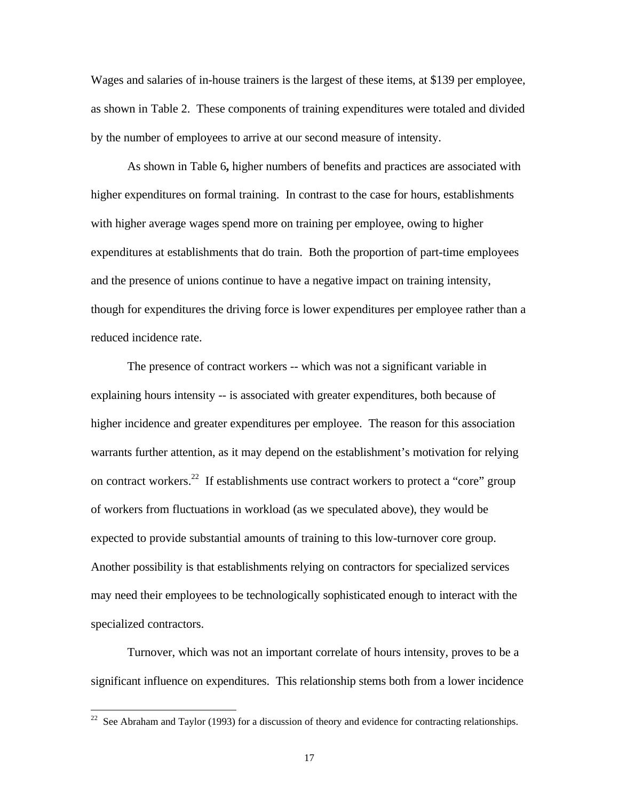Wages and salaries of in-house trainers is the largest of these items, at \$139 per employee, as shown in Table 2. These components of training expenditures were totaled and divided by the number of employees to arrive at our second measure of intensity.

As shown in Table 6**,** higher numbers of benefits and practices are associated with higher expenditures on formal training. In contrast to the case for hours, establishments with higher average wages spend more on training per employee, owing to higher expenditures at establishments that do train. Both the proportion of part-time employees and the presence of unions continue to have a negative impact on training intensity, though for expenditures the driving force is lower expenditures per employee rather than a reduced incidence rate.

The presence of contract workers -- which was not a significant variable in explaining hours intensity -- is associated with greater expenditures, both because of higher incidence and greater expenditures per employee. The reason for this association warrants further attention, as it may depend on the establishment's motivation for relying on contract workers.<sup>22</sup> If establishments use contract workers to protect a "core" group of workers from fluctuations in workload (as we speculated above), they would be expected to provide substantial amounts of training to this low-turnover core group. Another possibility is that establishments relying on contractors for specialized services may need their employees to be technologically sophisticated enough to interact with the specialized contractors.

Turnover, which was not an important correlate of hours intensity, proves to be a significant influence on expenditures. This relationship stems both from a lower incidence

-

 $22$  See Abraham and Taylor (1993) for a discussion of theory and evidence for contracting relationships.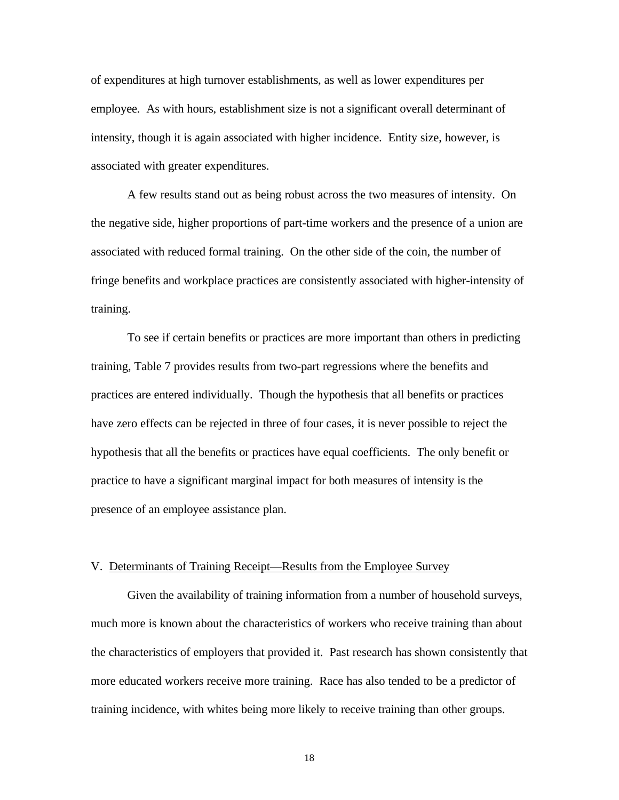of expenditures at high turnover establishments, as well as lower expenditures per employee. As with hours, establishment size is not a significant overall determinant of intensity, though it is again associated with higher incidence. Entity size, however, is associated with greater expenditures.

A few results stand out as being robust across the two measures of intensity. On the negative side, higher proportions of part-time workers and the presence of a union are associated with reduced formal training. On the other side of the coin, the number of fringe benefits and workplace practices are consistently associated with higher-intensity of training.

To see if certain benefits or practices are more important than others in predicting training, Table 7 provides results from two-part regressions where the benefits and practices are entered individually. Though the hypothesis that all benefits or practices have zero effects can be rejected in three of four cases, it is never possible to reject the hypothesis that all the benefits or practices have equal coefficients. The only benefit or practice to have a significant marginal impact for both measures of intensity is the presence of an employee assistance plan.

#### V. Determinants of Training Receipt—Results from the Employee Survey

Given the availability of training information from a number of household surveys, much more is known about the characteristics of workers who receive training than about the characteristics of employers that provided it. Past research has shown consistently that more educated workers receive more training. Race has also tended to be a predictor of training incidence, with whites being more likely to receive training than other groups.

18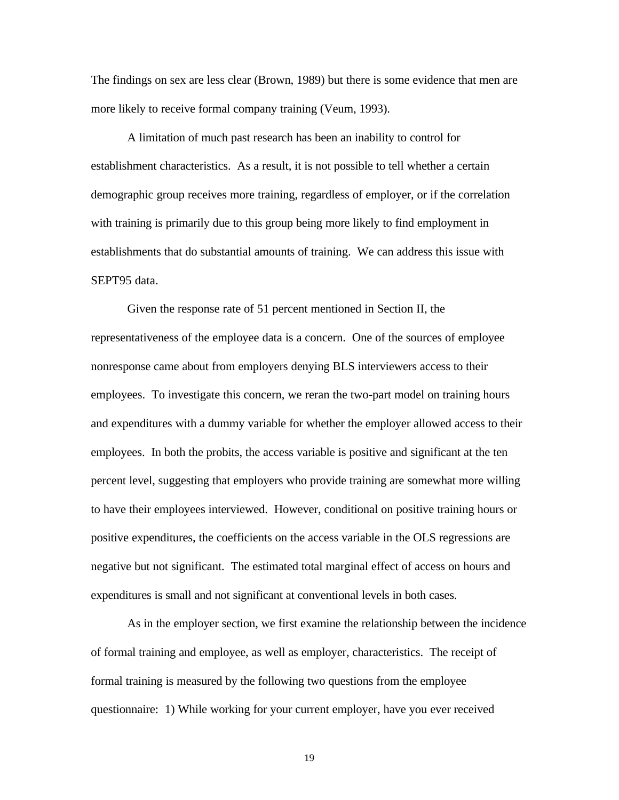The findings on sex are less clear (Brown, 1989) but there is some evidence that men are more likely to receive formal company training (Veum, 1993).

A limitation of much past research has been an inability to control for establishment characteristics. As a result, it is not possible to tell whether a certain demographic group receives more training, regardless of employer, or if the correlation with training is primarily due to this group being more likely to find employment in establishments that do substantial amounts of training. We can address this issue with SEPT95 data.

Given the response rate of 51 percent mentioned in Section II, the representativeness of the employee data is a concern. One of the sources of employee nonresponse came about from employers denying BLS interviewers access to their employees. To investigate this concern, we reran the two-part model on training hours and expenditures with a dummy variable for whether the employer allowed access to their employees. In both the probits, the access variable is positive and significant at the ten percent level, suggesting that employers who provide training are somewhat more willing to have their employees interviewed. However, conditional on positive training hours or positive expenditures, the coefficients on the access variable in the OLS regressions are negative but not significant. The estimated total marginal effect of access on hours and expenditures is small and not significant at conventional levels in both cases.

As in the employer section, we first examine the relationship between the incidence of formal training and employee, as well as employer, characteristics. The receipt of formal training is measured by the following two questions from the employee questionnaire: 1) While working for your current employer, have you ever received

19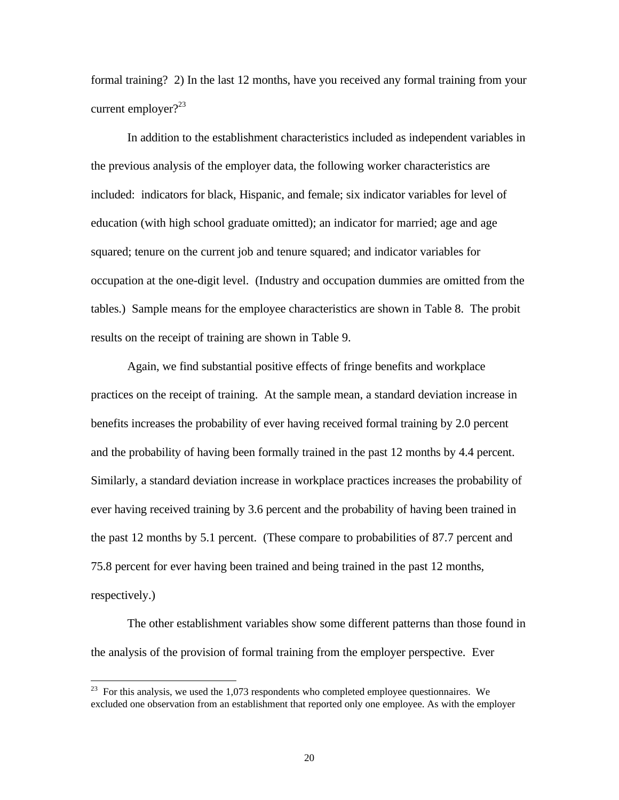formal training? 2) In the last 12 months, have you received any formal training from your current employer? $23$ 

In addition to the establishment characteristics included as independent variables in the previous analysis of the employer data, the following worker characteristics are included: indicators for black, Hispanic, and female; six indicator variables for level of education (with high school graduate omitted); an indicator for married; age and age squared; tenure on the current job and tenure squared; and indicator variables for occupation at the one-digit level. (Industry and occupation dummies are omitted from the tables.) Sample means for the employee characteristics are shown in Table 8. The probit results on the receipt of training are shown in Table 9.

Again, we find substantial positive effects of fringe benefits and workplace practices on the receipt of training. At the sample mean, a standard deviation increase in benefits increases the probability of ever having received formal training by 2.0 percent and the probability of having been formally trained in the past 12 months by 4.4 percent. Similarly, a standard deviation increase in workplace practices increases the probability of ever having received training by 3.6 percent and the probability of having been trained in the past 12 months by 5.1 percent. (These compare to probabilities of 87.7 percent and 75.8 percent for ever having been trained and being trained in the past 12 months, respectively.)

The other establishment variables show some different patterns than those found in the analysis of the provision of formal training from the employer perspective. Ever

-

 $^{23}$  For this analysis, we used the 1,073 respondents who completed employee questionnaires. We excluded one observation from an establishment that reported only one employee. As with the employer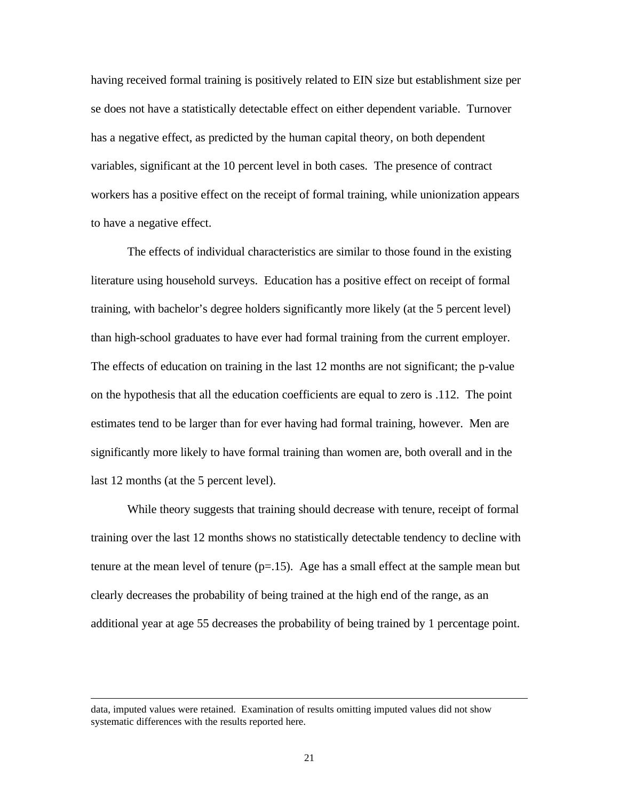having received formal training is positively related to EIN size but establishment size per se does not have a statistically detectable effect on either dependent variable. Turnover has a negative effect, as predicted by the human capital theory, on both dependent variables, significant at the 10 percent level in both cases. The presence of contract workers has a positive effect on the receipt of formal training, while unionization appears to have a negative effect.

The effects of individual characteristics are similar to those found in the existing literature using household surveys. Education has a positive effect on receipt of formal training, with bachelor's degree holders significantly more likely (at the 5 percent level) than high-school graduates to have ever had formal training from the current employer. The effects of education on training in the last 12 months are not significant; the p-value on the hypothesis that all the education coefficients are equal to zero is .112. The point estimates tend to be larger than for ever having had formal training, however. Men are significantly more likely to have formal training than women are, both overall and in the last 12 months (at the 5 percent level).

While theory suggests that training should decrease with tenure, receipt of formal training over the last 12 months shows no statistically detectable tendency to decline with tenure at the mean level of tenure  $(p=15)$ . Age has a small effect at the sample mean but clearly decreases the probability of being trained at the high end of the range, as an additional year at age 55 decreases the probability of being trained by 1 percentage point.

data, imputed values were retained. Examination of results omitting imputed values did not show systematic differences with the results reported here.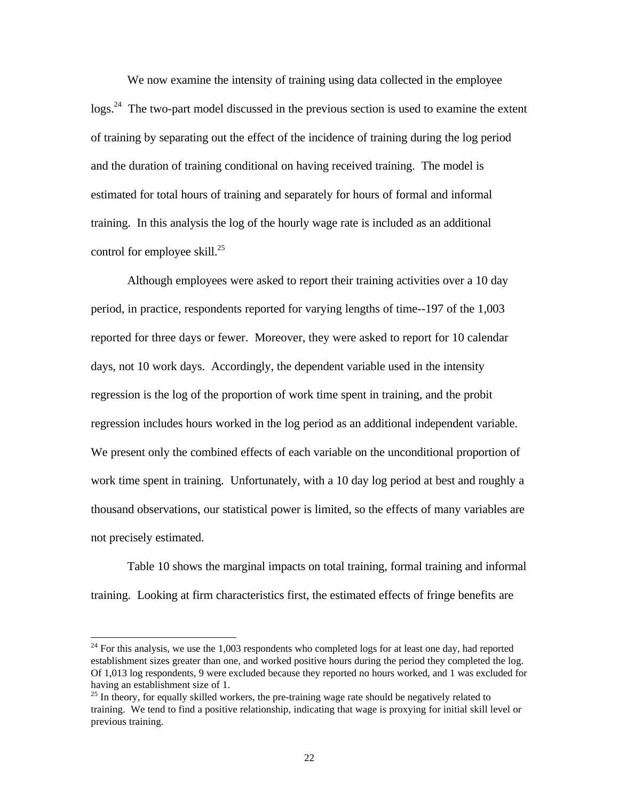We now examine the intensity of training using data collected in the employee  $\log s$ <sup>24</sup>. The two-part model discussed in the previous section is used to examine the extent of training by separating out the effect of the incidence of training during the log period and the duration of training conditional on having received training. The model is estimated for total hours of training and separately for hours of formal and informal training. In this analysis the log of the hourly wage rate is included as an additional control for employee skill. $^{25}$ 

Although employees were asked to report their training activities over a 10 day period, in practice, respondents reported for varying lengths of time--197 of the 1,003 reported for three days or fewer. Moreover, they were asked to report for 10 calendar days, not 10 work days. Accordingly, the dependent variable used in the intensity regression is the log of the proportion of work time spent in training, and the probit regression includes hours worked in the log period as an additional independent variable. We present only the combined effects of each variable on the unconditional proportion of work time spent in training. Unfortunately, with a 10 day log period at best and roughly a thousand observations, our statistical power is limited, so the effects of many variables are not precisely estimated.

Table 10 shows the marginal impacts on total training, formal training and informal training. Looking at firm characteristics first, the estimated effects of fringe benefits are

<sup>&</sup>lt;sup>24</sup> For this analysis, we use the 1,003 respondents who completed logs for at least one day, had reported establishment sizes greater than one, and worked positive hours during the period they completed the log. Of 1,013 log respondents, 9 were excluded because they reported no hours worked, and 1 was excluded for having an establishment size of 1.

 $25$  In theory, for equally skilled workers, the pre-training wage rate should be negatively related to training. We tend to find a positive relationship, indicating that wage is proxying for initial skill level or previous training.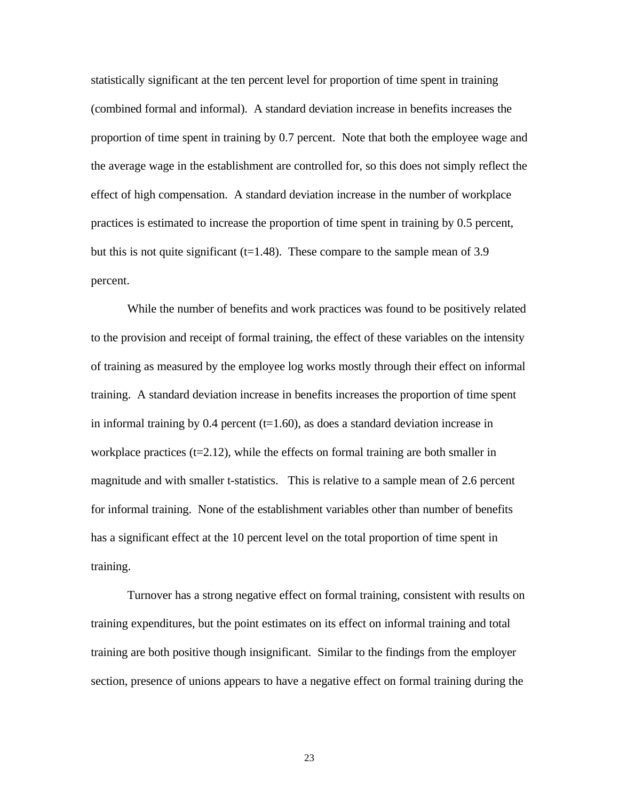statistically significant at the ten percent level for proportion of time spent in training (combined formal and informal). A standard deviation increase in benefits increases the proportion of time spent in training by 0.7 percent. Note that both the employee wage and the average wage in the establishment are controlled for, so this does not simply reflect the effect of high compensation. A standard deviation increase in the number of workplace practices is estimated to increase the proportion of time spent in training by 0.5 percent, but this is not quite significant ( $t=1.48$ ). These compare to the sample mean of 3.9 percent.

While the number of benefits and work practices was found to be positively related to the provision and receipt of formal training, the effect of these variables on the intensity of training as measured by the employee log works mostly through their effect on informal training. A standard deviation increase in benefits increases the proportion of time spent in informal training by 0.4 percent  $(t=1.60)$ , as does a standard deviation increase in workplace practices  $(t=2.12)$ , while the effects on formal training are both smaller in magnitude and with smaller t-statistics. This is relative to a sample mean of 2.6 percent for informal training. None of the establishment variables other than number of benefits has a significant effect at the 10 percent level on the total proportion of time spent in training.

Turnover has a strong negative effect on formal training, consistent with results on training expenditures, but the point estimates on its effect on informal training and total training are both positive though insignificant. Similar to the findings from the employer section, presence of unions appears to have a negative effect on formal training during the

23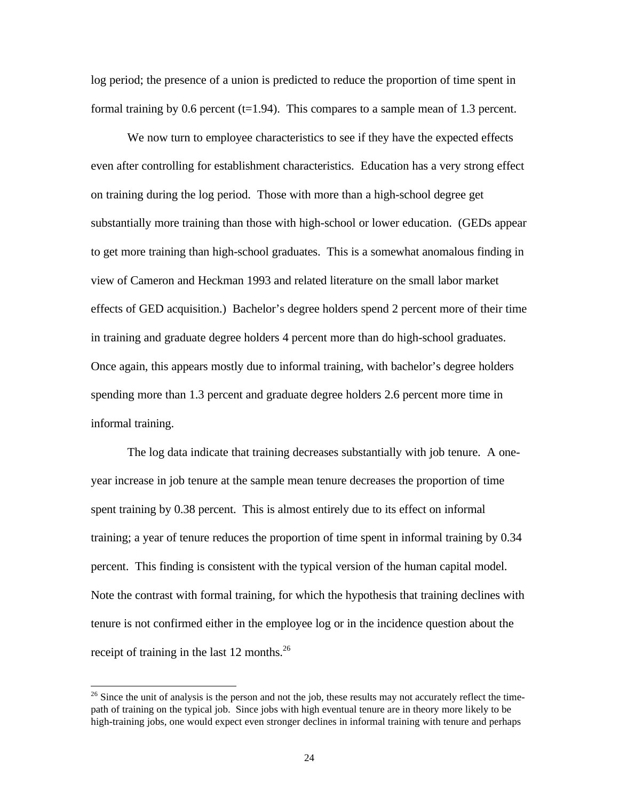log period; the presence of a union is predicted to reduce the proportion of time spent in formal training by 0.6 percent  $(t=1.94)$ . This compares to a sample mean of 1.3 percent.

We now turn to employee characteristics to see if they have the expected effects even after controlling for establishment characteristics. Education has a very strong effect on training during the log period. Those with more than a high-school degree get substantially more training than those with high-school or lower education. (GEDs appear to get more training than high-school graduates. This is a somewhat anomalous finding in view of Cameron and Heckman 1993 and related literature on the small labor market effects of GED acquisition.) Bachelor's degree holders spend 2 percent more of their time in training and graduate degree holders 4 percent more than do high-school graduates. Once again, this appears mostly due to informal training, with bachelor's degree holders spending more than 1.3 percent and graduate degree holders 2.6 percent more time in informal training.

The log data indicate that training decreases substantially with job tenure. A oneyear increase in job tenure at the sample mean tenure decreases the proportion of time spent training by 0.38 percent. This is almost entirely due to its effect on informal training; a year of tenure reduces the proportion of time spent in informal training by 0.34 percent. This finding is consistent with the typical version of the human capital model. Note the contrast with formal training, for which the hypothesis that training declines with tenure is not confirmed either in the employee log or in the incidence question about the receipt of training in the last 12 months.<sup>26</sup>

 $^{26}$  Since the unit of analysis is the person and not the job, these results may not accurately reflect the timepath of training on the typical job. Since jobs with high eventual tenure are in theory more likely to be high-training jobs, one would expect even stronger declines in informal training with tenure and perhaps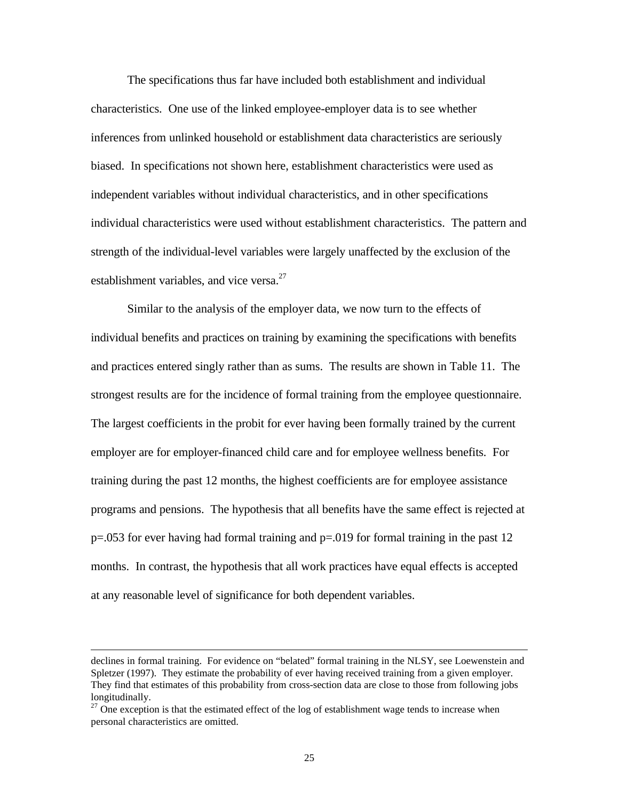The specifications thus far have included both establishment and individual characteristics. One use of the linked employee-employer data is to see whether inferences from unlinked household or establishment data characteristics are seriously biased. In specifications not shown here, establishment characteristics were used as independent variables without individual characteristics, and in other specifications individual characteristics were used without establishment characteristics. The pattern and strength of the individual-level variables were largely unaffected by the exclusion of the establishment variables, and vice versa.<sup>27</sup>

Similar to the analysis of the employer data, we now turn to the effects of individual benefits and practices on training by examining the specifications with benefits and practices entered singly rather than as sums. The results are shown in Table 11. The strongest results are for the incidence of formal training from the employee questionnaire. The largest coefficients in the probit for ever having been formally trained by the current employer are for employer-financed child care and for employee wellness benefits. For training during the past 12 months, the highest coefficients are for employee assistance programs and pensions. The hypothesis that all benefits have the same effect is rejected at p=.053 for ever having had formal training and p=.019 for formal training in the past 12 months. In contrast, the hypothesis that all work practices have equal effects is accepted at any reasonable level of significance for both dependent variables.

declines in formal training. For evidence on "belated" formal training in the NLSY, see Loewenstein and Spletzer (1997). They estimate the probability of ever having received training from a given employer. They find that estimates of this probability from cross-section data are close to those from following jobs longitudinally.

 $27$  One exception is that the estimated effect of the log of establishment wage tends to increase when personal characteristics are omitted.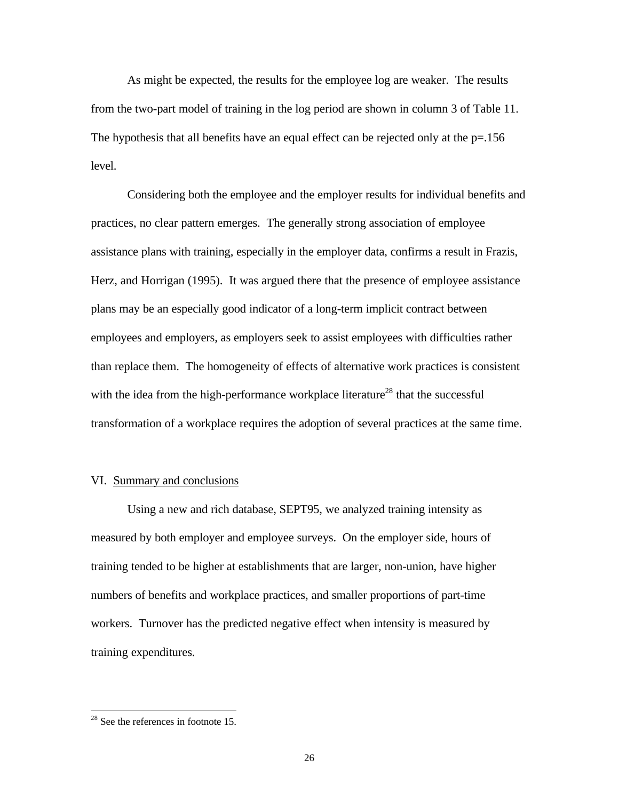As might be expected, the results for the employee log are weaker. The results from the two-part model of training in the log period are shown in column 3 of Table 11. The hypothesis that all benefits have an equal effect can be rejected only at the  $p=156$ level.

Considering both the employee and the employer results for individual benefits and practices, no clear pattern emerges. The generally strong association of employee assistance plans with training, especially in the employer data, confirms a result in Frazis, Herz, and Horrigan (1995). It was argued there that the presence of employee assistance plans may be an especially good indicator of a long-term implicit contract between employees and employers, as employers seek to assist employees with difficulties rather than replace them. The homogeneity of effects of alternative work practices is consistent with the idea from the high-performance workplace literature<sup>28</sup> that the successful transformation of a workplace requires the adoption of several practices at the same time.

### VI. Summary and conclusions

Using a new and rich database, SEPT95, we analyzed training intensity as measured by both employer and employee surveys. On the employer side, hours of training tended to be higher at establishments that are larger, non-union, have higher numbers of benefits and workplace practices, and smaller proportions of part-time workers. Turnover has the predicted negative effect when intensity is measured by training expenditures.

 $2<sup>28</sup>$  See the references in footnote 15.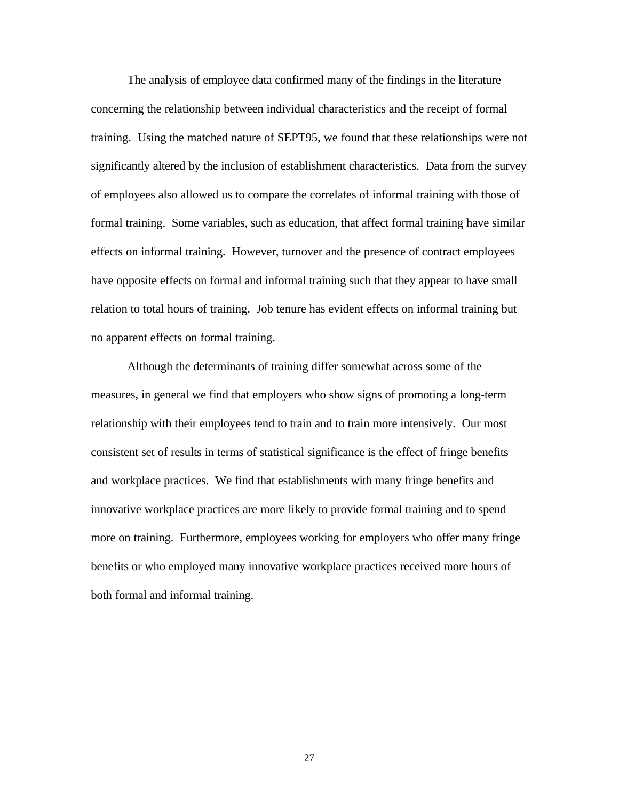The analysis of employee data confirmed many of the findings in the literature concerning the relationship between individual characteristics and the receipt of formal training. Using the matched nature of SEPT95, we found that these relationships were not significantly altered by the inclusion of establishment characteristics. Data from the survey of employees also allowed us to compare the correlates of informal training with those of formal training. Some variables, such as education, that affect formal training have similar effects on informal training. However, turnover and the presence of contract employees have opposite effects on formal and informal training such that they appear to have small relation to total hours of training. Job tenure has evident effects on informal training but no apparent effects on formal training.

Although the determinants of training differ somewhat across some of the measures, in general we find that employers who show signs of promoting a long-term relationship with their employees tend to train and to train more intensively. Our most consistent set of results in terms of statistical significance is the effect of fringe benefits and workplace practices. We find that establishments with many fringe benefits and innovative workplace practices are more likely to provide formal training and to spend more on training. Furthermore, employees working for employers who offer many fringe benefits or who employed many innovative workplace practices received more hours of both formal and informal training.

27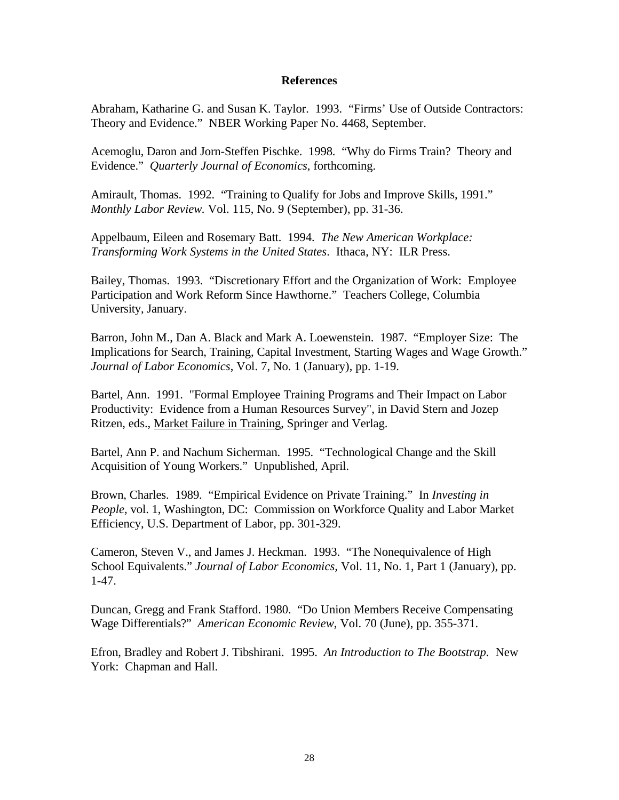### **References**

Abraham, Katharine G. and Susan K. Taylor. 1993. "Firms' Use of Outside Contractors: Theory and Evidence." NBER Working Paper No. 4468, September.

Acemoglu, Daron and Jorn-Steffen Pischke. 1998. "Why do Firms Train? Theory and Evidence." *Quarterly Journal of Economics*, forthcoming.

Amirault, Thomas. 1992. "Training to Qualify for Jobs and Improve Skills, 1991." *Monthly Labor Review.* Vol. 115, No. 9 (September), pp. 31-36.

Appelbaum, Eileen and Rosemary Batt. 1994. *The New American Workplace: Transforming Work Systems in the United States*. Ithaca, NY: ILR Press.

Bailey, Thomas. 1993. "Discretionary Effort and the Organization of Work: Employee Participation and Work Reform Since Hawthorne." Teachers College, Columbia University, January.

Barron, John M., Dan A. Black and Mark A. Loewenstein. 1987. "Employer Size: The Implications for Search, Training, Capital Investment, Starting Wages and Wage Growth." *Journal of Labor Economics*, Vol. 7, No. 1 (January), pp. 1-19.

Bartel, Ann. 1991. "Formal Employee Training Programs and Their Impact on Labor Productivity: Evidence from a Human Resources Survey", in David Stern and Jozep Ritzen, eds., Market Failure in Training, Springer and Verlag.

Bartel, Ann P. and Nachum Sicherman. 1995. "Technological Change and the Skill Acquisition of Young Workers." Unpublished, April.

Brown, Charles. 1989. "Empirical Evidence on Private Training." In *Investing in People*, vol. 1, Washington, DC: Commission on Workforce Quality and Labor Market Efficiency, U.S. Department of Labor, pp. 301-329.

Cameron, Steven V., and James J. Heckman. 1993. "The Nonequivalence of High School Equivalents." *Journal of Labor Economics,* Vol. 11, No. 1, Part 1 (January), pp. 1-47.

Duncan, Gregg and Frank Stafford. 1980. "Do Union Members Receive Compensating Wage Differentials?" *American Economic Review*, Vol. 70 (June), pp. 355-371.

Efron, Bradley and Robert J. Tibshirani. 1995. *An Introduction to The Bootstrap.* New York: Chapman and Hall.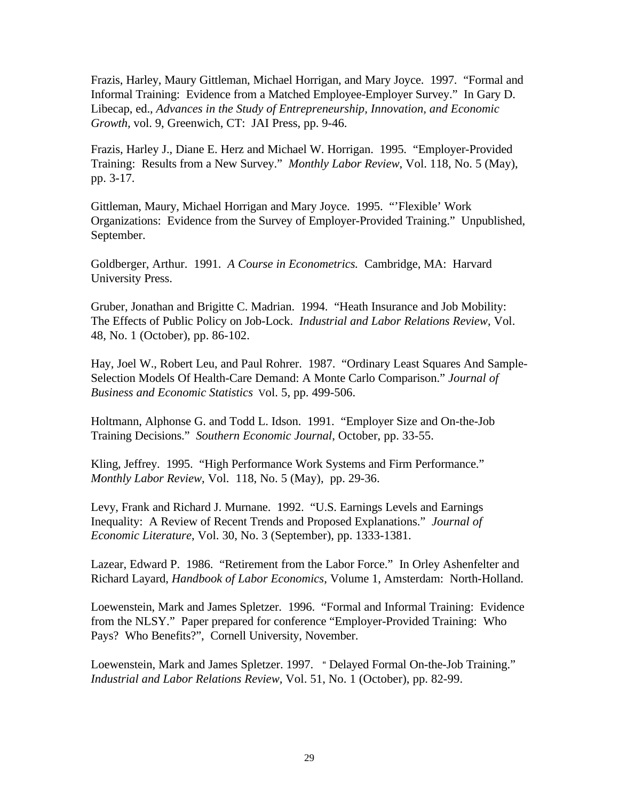Frazis, Harley, Maury Gittleman, Michael Horrigan, and Mary Joyce. 1997. "Formal and Informal Training: Evidence from a Matched Employee-Employer Survey." In Gary D. Libecap, ed., *Advances in the Study of Entrepreneurship, Innovation, and Economic Growth,* vol. 9, Greenwich, CT: JAI Press, pp. 9-46.

Frazis, Harley J., Diane E. Herz and Michael W. Horrigan. 1995. "Employer-Provided Training: Results from a New Survey." *Monthly Labor Review*, Vol. 118, No. 5 (May), pp. 3-17.

Gittleman, Maury, Michael Horrigan and Mary Joyce. 1995. "'Flexible' Work Organizations: Evidence from the Survey of Employer-Provided Training." Unpublished, September.

Goldberger, Arthur. 1991. *A Course in Econometrics.* Cambridge, MA: Harvard University Press.

Gruber, Jonathan and Brigitte C. Madrian. 1994. "Heath Insurance and Job Mobility: The Effects of Public Policy on Job-Lock. *Industrial and Labor Relations Review*, Vol. 48, No. 1 (October), pp. 86-102.

Hay, Joel W., Robert Leu, and Paul Rohrer. 1987. "Ordinary Least Squares And Sample-Selection Models Of Health-Care Demand: A Monte Carlo Comparison." *Journal of Business and Economic Statistics* Vol. 5, pp. 499-506.

Holtmann, Alphonse G. and Todd L. Idson. 1991. "Employer Size and On-the-Job Training Decisions." *Southern Economic Journal*, October, pp. 33-55.

Kling, Jeffrey. 1995. "High Performance Work Systems and Firm Performance." *Monthly Labor Review*, Vol. 118, No. 5 (May), pp. 29-36.

Levy, Frank and Richard J. Murnane. 1992. "U.S. Earnings Levels and Earnings Inequality: A Review of Recent Trends and Proposed Explanations." *Journal of Economic Literature*, Vol. 30, No. 3 (September), pp. 1333-1381.

Lazear, Edward P. 1986. "Retirement from the Labor Force." In Orley Ashenfelter and Richard Layard, *Handbook of Labor Economics*, Volume 1, Amsterdam: North-Holland.

Loewenstein, Mark and James Spletzer. 1996. "Formal and Informal Training: Evidence from the NLSY." Paper prepared for conference "Employer-Provided Training: Who Pays? Who Benefits?", Cornell University, November.

Loewenstein, Mark and James Spletzer. 1997. " Delayed Formal On-the-Job Training." *Industrial and Labor Relations Review,* Vol. 51, No. 1 (October), pp. 82-99.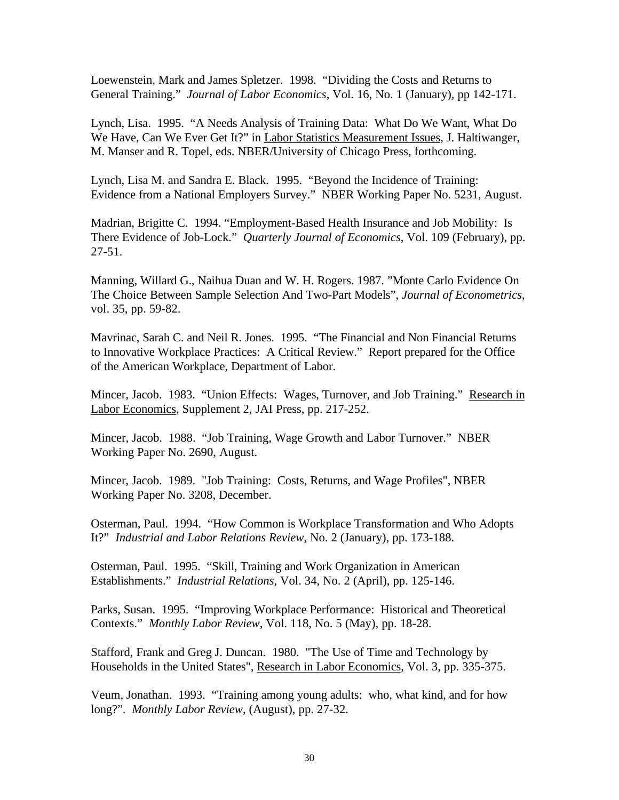Loewenstein, Mark and James Spletzer. 1998. "Dividing the Costs and Returns to General Training." *Journal of Labor Economics*, Vol. 16, No. 1 (January), pp 142-171.

Lynch, Lisa. 1995. "A Needs Analysis of Training Data: What Do We Want, What Do We Have, Can We Ever Get It?" in Labor Statistics Measurement Issues, J. Haltiwanger, M. Manser and R. Topel, eds. NBER/University of Chicago Press, forthcoming.

Lynch, Lisa M. and Sandra E. Black. 1995. "Beyond the Incidence of Training: Evidence from a National Employers Survey." NBER Working Paper No. 5231, August.

Madrian, Brigitte C. 1994. "Employment-Based Health Insurance and Job Mobility: Is There Evidence of Job-Lock." *Quarterly Journal of Economics*, Vol. 109 (February), pp. 27-51.

Manning, Willard G., Naihua Duan and W. H. Rogers. 1987. "Monte Carlo Evidence On The Choice Between Sample Selection And Two-Part Models", *Journal of Econometrics*, vol. 35, pp. 59-82.

Mavrinac, Sarah C. and Neil R. Jones. 1995. "The Financial and Non Financial Returns to Innovative Workplace Practices: A Critical Review." Report prepared for the Office of the American Workplace, Department of Labor.

Mincer, Jacob. 1983. "Union Effects: Wages, Turnover, and Job Training." Research in Labor Economics, Supplement 2, JAI Press, pp. 217-252.

Mincer, Jacob. 1988. "Job Training, Wage Growth and Labor Turnover." NBER Working Paper No. 2690, August.

Mincer, Jacob. 1989. "Job Training: Costs, Returns, and Wage Profiles", NBER Working Paper No. 3208, December.

Osterman, Paul. 1994. "How Common is Workplace Transformation and Who Adopts It?" *Industrial and Labor Relations Review*, No. 2 (January), pp. 173-188.

Osterman, Paul. 1995. "Skill, Training and Work Organization in American Establishments." *Industrial Relations*, Vol. 34, No. 2 (April), pp. 125-146.

Parks, Susan. 1995. "Improving Workplace Performance: Historical and Theoretical Contexts." *Monthly Labor Review*, Vol. 118, No. 5 (May), pp. 18-28.

Stafford, Frank and Greg J. Duncan. 1980. "The Use of Time and Technology by Households in the United States", Research in Labor Economics, Vol. 3, pp. 335-375.

Veum, Jonathan. 1993. "Training among young adults: who, what kind, and for how long?". *Monthly Labor Review*, (August), pp. 27-32.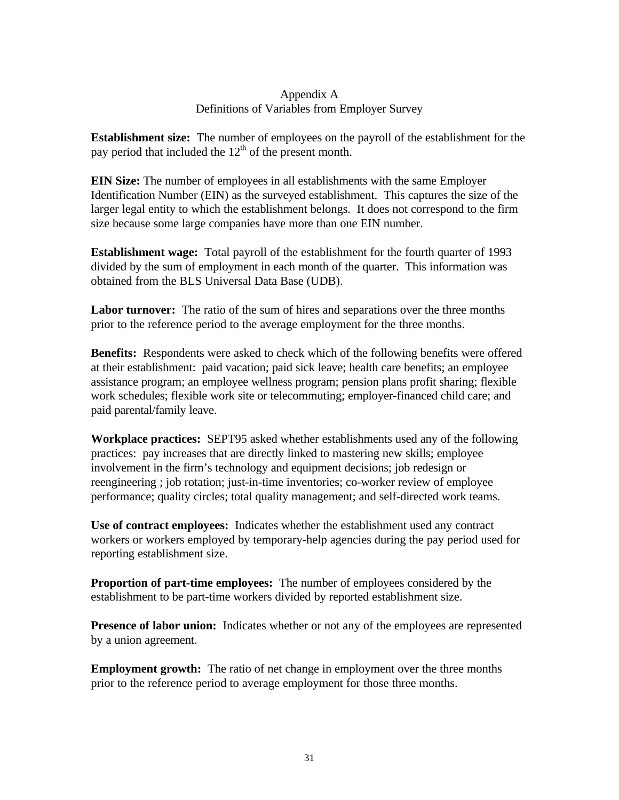### Appendix A Definitions of Variables from Employer Survey

**Establishment size:** The number of employees on the payroll of the establishment for the pay period that included the  $12<sup>th</sup>$  of the present month.

**EIN Size:** The number of employees in all establishments with the same Employer Identification Number (EIN) as the surveyed establishment. This captures the size of the larger legal entity to which the establishment belongs. It does not correspond to the firm size because some large companies have more than one EIN number.

**Establishment wage:** Total payroll of the establishment for the fourth quarter of 1993 divided by the sum of employment in each month of the quarter. This information was obtained from the BLS Universal Data Base (UDB).

**Labor turnover:** The ratio of the sum of hires and separations over the three months prior to the reference period to the average employment for the three months.

**Benefits:** Respondents were asked to check which of the following benefits were offered at their establishment: paid vacation; paid sick leave; health care benefits; an employee assistance program; an employee wellness program; pension plans profit sharing; flexible work schedules; flexible work site or telecommuting; employer-financed child care; and paid parental/family leave.

**Workplace practices:** SEPT95 asked whether establishments used any of the following practices: pay increases that are directly linked to mastering new skills; employee involvement in the firm's technology and equipment decisions; job redesign or reengineering ; job rotation; just-in-time inventories; co-worker review of employee performance; quality circles; total quality management; and self-directed work teams.

**Use of contract employees:** Indicates whether the establishment used any contract workers or workers employed by temporary-help agencies during the pay period used for reporting establishment size.

**Proportion of part-time employees:** The number of employees considered by the establishment to be part-time workers divided by reported establishment size.

**Presence of labor union:** Indicates whether or not any of the employees are represented by a union agreement.

**Employment growth:** The ratio of net change in employment over the three months prior to the reference period to average employment for those three months.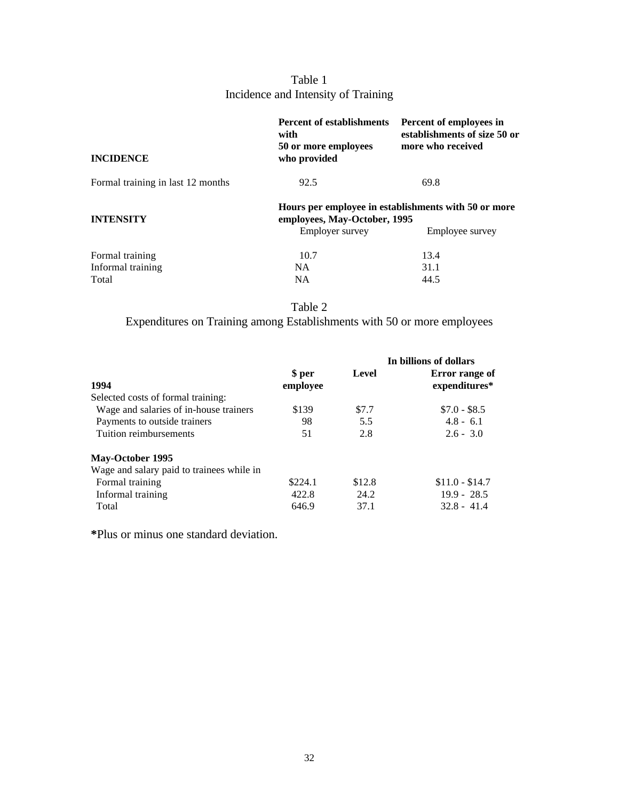# Table 1 Incidence and Intensity of Training

| <b>Percent of establishments</b><br>with<br>50 or more employees<br>who provided                        | Percent of employees in<br>establishments of size 50 or<br>more who received |  |  |
|---------------------------------------------------------------------------------------------------------|------------------------------------------------------------------------------|--|--|
| 92.5                                                                                                    | 69.8                                                                         |  |  |
| Hours per employee in establishments with 50 or more<br>employees, May-October, 1995<br>Employee survey |                                                                              |  |  |
|                                                                                                         |                                                                              |  |  |
|                                                                                                         | 13.4                                                                         |  |  |
| <b>NA</b>                                                                                               | 31.1                                                                         |  |  |
| NA                                                                                                      | 44.5                                                                         |  |  |
|                                                                                                         | <b>Employer survey</b><br>10.7                                               |  |  |

Table 2

Expenditures on Training among Establishments with 50 or more employees

|                                           | \$ per   | Level  | In billions of dollars<br>Error range of |
|-------------------------------------------|----------|--------|------------------------------------------|
| 1994                                      | employee |        | expenditures*                            |
| Selected costs of formal training:        |          |        |                                          |
| Wage and salaries of in-house trainers    | \$139    | \$7.7  | $$7.0 - $8.5$                            |
| Payments to outside trainers              | 98       | 5.5    | $4.8 - 6.1$                              |
| Tuition reimbursements                    | 51       | 2.8    | $2.6 - 3.0$                              |
| <b>May-October 1995</b>                   |          |        |                                          |
| Wage and salary paid to trainees while in |          |        |                                          |
| Formal training                           | \$224.1  | \$12.8 | $$11.0 - $14.7$                          |
| Informal training                         | 422.8    | 24.2   | $19.9 - 28.5$                            |
| Total                                     | 646.9    | 37.1   | $32.8 - 41.4$                            |

**\***Plus or minus one standard deviation.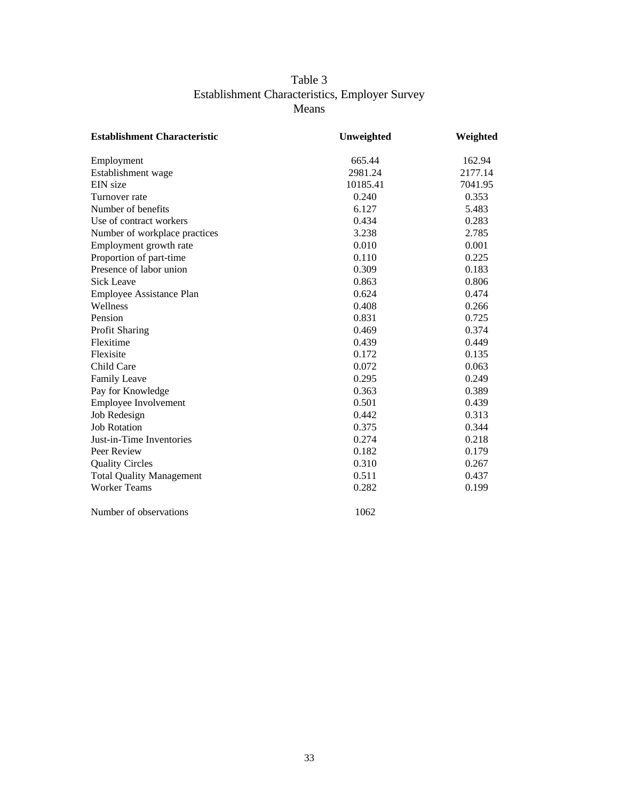## Table 3 Establishment Characteristics, Employer Survey Means

| <b>Establishment Characteristic</b> | Unweighted | Weighted |
|-------------------------------------|------------|----------|
| Employment                          | 665.44     | 162.94   |
| Establishment wage                  | 2981.24    | 2177.14  |
| EIN size                            | 10185.41   | 7041.95  |
| Turnover rate                       | 0.240      | 0.353    |
| Number of benefits                  | 6.127      | 5.483    |
| Use of contract workers             | 0.434      | 0.283    |
| Number of workplace practices       | 3.238      | 2.785    |
| Employment growth rate              | 0.010      | 0.001    |
| Proportion of part-time             | 0.110      | 0.225    |
| Presence of labor union             | 0.309      | 0.183    |
| <b>Sick Leave</b>                   | 0.863      | 0.806    |
| Employee Assistance Plan            | 0.624      | 0.474    |
| Wellness                            | 0.408      | 0.266    |
| Pension                             | 0.831      | 0.725    |
| Profit Sharing                      | 0.469      | 0.374    |
| Flexitime                           | 0.439      | 0.449    |
| Flexisite                           | 0.172      | 0.135    |
| Child Care                          | 0.072      | 0.063    |
| <b>Family Leave</b>                 | 0.295      | 0.249    |
| Pay for Knowledge                   | 0.363      | 0.389    |
| Employee Involvement                | 0.501      | 0.439    |
| Job Redesign                        | 0.442      | 0.313    |
| <b>Job Rotation</b>                 | 0.375      | 0.344    |
| Just-in-Time Inventories            | 0.274      | 0.218    |
| Peer Review                         | 0.182      | 0.179    |
| <b>Quality Circles</b>              | 0.310      | 0.267    |
| <b>Total Quality Management</b>     | 0.511      | 0.437    |
| <b>Worker Teams</b>                 | 0.282      | 0.199    |
| Number of observations              | 1062       |          |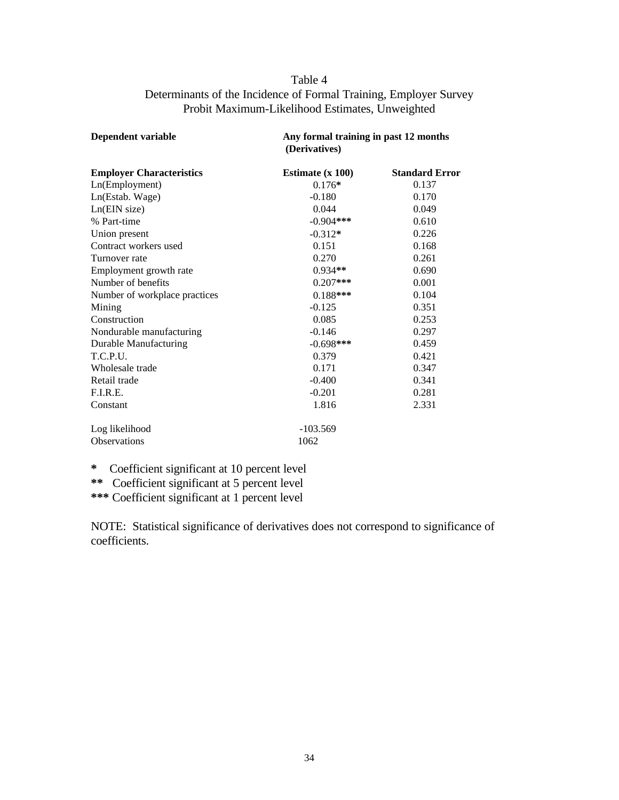## Table 4 Determinants of the Incidence of Formal Training, Employer Survey Probit Maximum-Likelihood Estimates, Unweighted

| Dependent variable              | Any formal training in past 12 months<br>(Derivatives) |                       |
|---------------------------------|--------------------------------------------------------|-----------------------|
| <b>Employer Characteristics</b> | Estimate $(x 100)$                                     | <b>Standard Error</b> |
| Ln(Employment)                  | $0.176*$                                               | 0.137                 |
| Ln(Estab. Wage)                 | $-0.180$                                               | 0.170                 |
| Ln(EIN size)                    | 0.044                                                  | 0.049                 |
| % Part-time                     | $-0.904$ ***                                           | 0.610                 |
| Union present                   | $-0.312*$                                              | 0.226                 |
| Contract workers used           | 0.151                                                  | 0.168                 |
| Turnover rate                   | 0.270                                                  | 0.261                 |
| Employment growth rate          | $0.934**$                                              | 0.690                 |
| Number of benefits              | $0.207***$                                             | 0.001                 |
| Number of workplace practices   | $0.188***$                                             | 0.104                 |
| Mining                          | $-0.125$                                               | 0.351                 |
| Construction                    | 0.085                                                  | 0.253                 |
| Nondurable manufacturing        | $-0.146$                                               | 0.297                 |
| Durable Manufacturing           | $-0.698$ ***                                           | 0.459                 |
| T.C.P.U.                        | 0.379                                                  | 0.421                 |
| Wholesale trade                 | 0.171                                                  | 0.347                 |
| Retail trade                    | $-0.400$                                               | 0.341                 |
| F.I.R.E.                        | $-0.201$                                               | 0.281                 |
| Constant                        | 1.816                                                  | 2.331                 |
| Log likelihood                  | $-103.569$                                             |                       |
| <b>Observations</b>             | 1062                                                   |                       |

**\*** Coefficient significant at 10 percent level

**\*\*** Coefficient significant at 5 percent level

**\*\*\*** Coefficient significant at 1 percent level

NOTE: Statistical significance of derivatives does not correspond to significance of coefficients.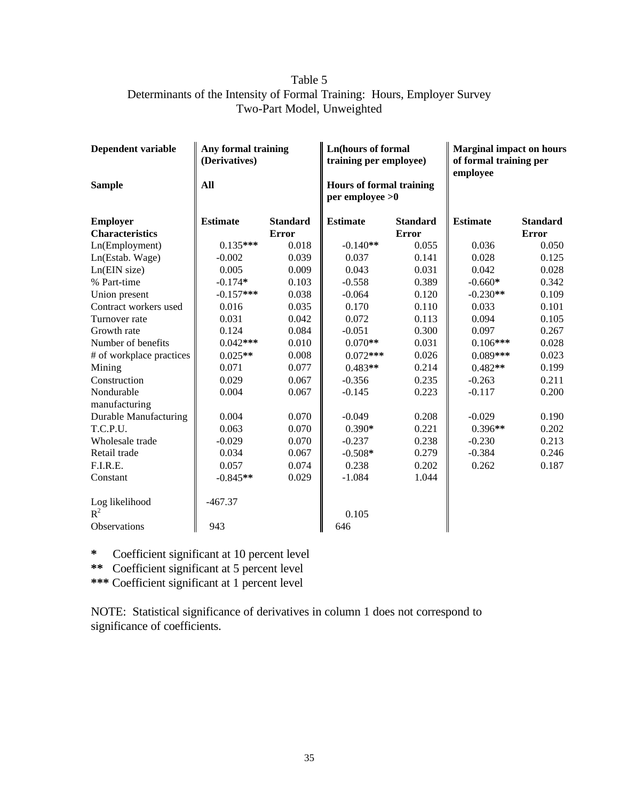## Table 5 Determinants of the Intensity of Formal Training: Hours, Employer Survey Two-Part Model, Unweighted

| <b>Dependent variable</b> | Any formal training<br>(Derivatives) |                 | <b>Ln</b> (hours of formal<br>training per employee)   |                 | <b>Marginal impact on hours</b><br>of formal training per<br>employee |                 |
|---------------------------|--------------------------------------|-----------------|--------------------------------------------------------|-----------------|-----------------------------------------------------------------------|-----------------|
| <b>Sample</b>             | All                                  |                 | <b>Hours of formal training</b><br>$per$ employee $>0$ |                 |                                                                       |                 |
| <b>Employer</b>           | <b>Estimate</b>                      | <b>Standard</b> | <b>Estimate</b>                                        | <b>Standard</b> | <b>Estimate</b>                                                       | <b>Standard</b> |
| <b>Characteristics</b>    |                                      | <b>Error</b>    |                                                        | <b>Error</b>    |                                                                       | <b>Error</b>    |
| Ln(Employment)            | $0.135***$                           | 0.018           | $-0.140**$                                             | 0.055           | 0.036                                                                 | 0.050           |
| Ln(Estab. Wage)           | $-0.002$                             | 0.039           | 0.037                                                  | 0.141           | 0.028                                                                 | 0.125           |
| Ln(EIN size)              | 0.005                                | 0.009           | 0.043                                                  | 0.031           | 0.042                                                                 | 0.028           |
| % Part-time               | $-0.174*$                            | 0.103           | $-0.558$                                               | 0.389           | $-0.660*$                                                             | 0.342           |
| Union present             | $-0.157***$                          | 0.038           | $-0.064$                                               | 0.120           | $-0.230**$                                                            | 0.109           |
| Contract workers used     | 0.016                                | 0.035           | 0.170                                                  | 0.110           | 0.033                                                                 | 0.101           |
| Turnover rate             | 0.031                                | 0.042           | 0.072                                                  | 0.113           | 0.094                                                                 | 0.105           |
| Growth rate               | 0.124                                | 0.084           | $-0.051$                                               | 0.300           | 0.097                                                                 | 0.267           |
| Number of benefits        | $0.042***$                           | 0.010           | $0.070**$                                              | 0.031           | $0.106***$                                                            | 0.028           |
| # of workplace practices  | $0.025**$                            | 0.008           | $0.072***$                                             | 0.026           | $0.089***$                                                            | 0.023           |
| Mining                    | 0.071                                | 0.077           | $0.483**$                                              | 0.214           | $0.482**$                                                             | 0.199           |
| Construction              | 0.029                                | 0.067           | $-0.356$                                               | 0.235           | $-0.263$                                                              | 0.211           |
| Nondurable                | 0.004                                | 0.067           | $-0.145$                                               | 0.223           | $-0.117$                                                              | 0.200           |
| manufacturing             |                                      |                 |                                                        |                 |                                                                       |                 |
| Durable Manufacturing     | 0.004                                | 0.070           | $-0.049$                                               | 0.208           | $-0.029$                                                              | 0.190           |
| T.C.P.U.                  | 0.063                                | 0.070           | $0.390*$                                               | 0.221           | $0.396**$                                                             | 0.202           |
| Wholesale trade           | $-0.029$                             | 0.070           | $-0.237$                                               | 0.238           | $-0.230$                                                              | 0.213           |
| Retail trade              | 0.034                                | 0.067           | $-0.508*$                                              | 0.279           | $-0.384$                                                              | 0.246           |
| F.I.R.E.                  | 0.057                                | 0.074           | 0.238                                                  | 0.202           | 0.262                                                                 | 0.187           |
| Constant                  | $-0.845**$                           | 0.029           | $-1.084$                                               | 1.044           |                                                                       |                 |
| Log likelihood<br>$R^2$   | $-467.37$                            |                 | 0.105                                                  |                 |                                                                       |                 |
| Observations              | 943                                  |                 | 646                                                    |                 |                                                                       |                 |
|                           |                                      |                 |                                                        |                 |                                                                       |                 |

**\*** Coefficient significant at 10 percent level

**\*\*** Coefficient significant at 5 percent level

**\*\*\*** Coefficient significant at 1 percent level

NOTE: Statistical significance of derivatives in column 1 does not correspond to significance of coefficients.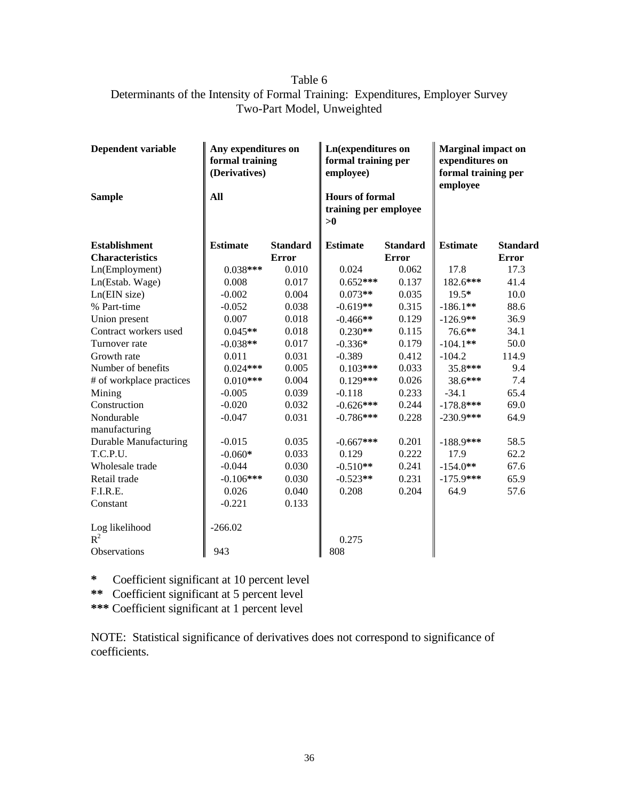## Table 6 Determinants of the Intensity of Formal Training: Expenditures, Employer Survey Two-Part Model, Unweighted

| Dependent variable       | Any expenditures on<br>formal training<br>(Derivatives) |                 | <b>Ln</b> (expenditures on<br>formal training per<br>employee) |                 | <b>Marginal impact on</b><br>expenditures on<br>formal training per<br>employee |                 |
|--------------------------|---------------------------------------------------------|-----------------|----------------------------------------------------------------|-----------------|---------------------------------------------------------------------------------|-----------------|
| <b>Sample</b>            | All                                                     |                 | <b>Hours of formal</b><br>training per employee<br>>0          |                 |                                                                                 |                 |
| <b>Establishment</b>     | <b>Estimate</b>                                         | <b>Standard</b> | <b>Estimate</b>                                                | <b>Standard</b> | <b>Estimate</b>                                                                 | <b>Standard</b> |
| <b>Characteristics</b>   |                                                         | <b>Error</b>    |                                                                | <b>Error</b>    |                                                                                 | <b>Error</b>    |
| Ln(Employment)           | $0.038***$                                              | 0.010           | 0.024                                                          | 0.062           | 17.8                                                                            | 17.3            |
| Ln(Estab. Wage)          | 0.008                                                   | 0.017           | $0.652***$                                                     | 0.137           | 182.6***                                                                        | 41.4            |
| Ln(EIN size)             | $-0.002$                                                | 0.004           | $0.073**$                                                      | 0.035           | $19.5*$                                                                         | 10.0            |
| % Part-time              | $-0.052$                                                | 0.038           | $-0.619**$                                                     | 0.315           | $-186.1**$                                                                      | 88.6            |
| Union present            | 0.007                                                   | 0.018           | $-0.466**$                                                     | 0.129           | $-126.9**$                                                                      | 36.9            |
| Contract workers used    | $0.045**$                                               | 0.018           | $0.230**$                                                      | 0.115           | 76.6**                                                                          | 34.1            |
| Turnover rate            | $-0.038**$                                              | 0.017           | $-0.336*$                                                      | 0.179           | $-104.1**$                                                                      | 50.0            |
| Growth rate              | 0.011                                                   | 0.031           | $-0.389$                                                       | 0.412           | $-104.2$                                                                        | 114.9           |
| Number of benefits       | $0.024***$                                              | 0.005           | $0.103***$                                                     | 0.033           | 35.8***                                                                         | 9.4             |
| # of workplace practices | $0.010***$                                              | 0.004           | $0.129***$                                                     | 0.026           | 38.6***                                                                         | 7.4             |
| Mining                   | $-0.005$                                                | 0.039           | $-0.118$                                                       | 0.233           | $-34.1$                                                                         | 65.4            |
| Construction             | $-0.020$                                                | 0.032           | $-0.626***$                                                    | 0.244           | $-178.8$ ***                                                                    | 69.0            |
| Nondurable               | $-0.047$                                                | 0.031           | $-0.786***$                                                    | 0.228           | $-230.9***$                                                                     | 64.9            |
| manufacturing            |                                                         |                 |                                                                |                 |                                                                                 |                 |
| Durable Manufacturing    | $-0.015$                                                | 0.035           | $-0.667***$                                                    | 0.201           | $-188.9$ ***                                                                    | 58.5            |
| T.C.P.U.                 | $-0.060*$                                               | 0.033           | 0.129                                                          | 0.222           | 17.9                                                                            | 62.2            |
| Wholesale trade          | $-0.044$                                                | 0.030           | $-0.510**$                                                     | 0.241           | $-154.0**$                                                                      | 67.6            |
| Retail trade             | $-0.106***$                                             | 0.030           | $-0.523**$                                                     | 0.231           | $-175.9***$                                                                     | 65.9            |
| F.I.R.E.                 | 0.026                                                   | 0.040           | 0.208                                                          | 0.204           | 64.9                                                                            | 57.6            |
| Constant                 | $-0.221$                                                | 0.133           |                                                                |                 |                                                                                 |                 |
| Log likelihood<br>$R^2$  | $-266.02$                                               |                 | 0.275                                                          |                 |                                                                                 |                 |
| Observations             | 943                                                     |                 | 808                                                            |                 |                                                                                 |                 |
|                          |                                                         |                 |                                                                |                 |                                                                                 |                 |

**\*** Coefficient significant at 10 percent level

**\*\*** Coefficient significant at 5 percent level

**\*\*\*** Coefficient significant at 1 percent level

NOTE: Statistical significance of derivatives does not correspond to significance of coefficients.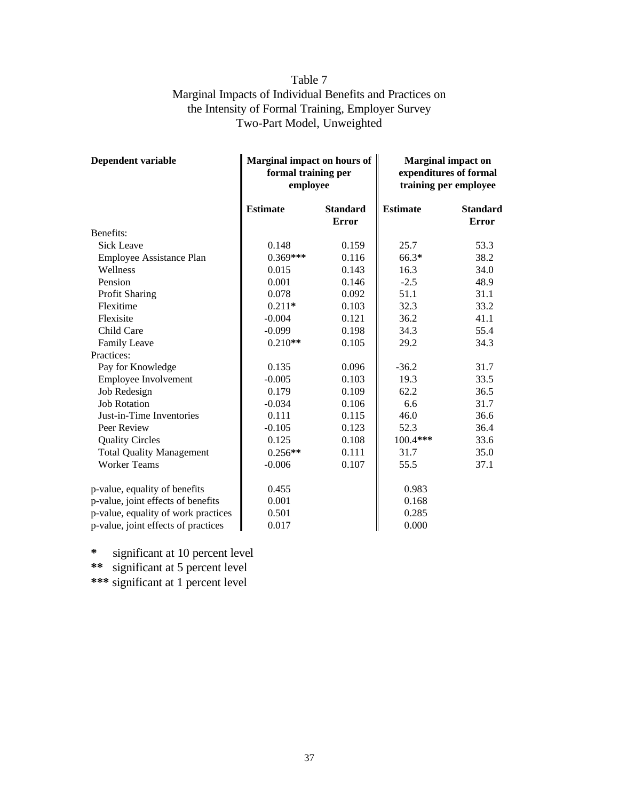## Table 7 Marginal Impacts of Individual Benefits and Practices on the Intensity of Formal Training, Employer Survey Two-Part Model, Unweighted

| <b>Dependent variable</b>           | Marginal impact on hours of<br>formal training per<br>employee |                                 | <b>Marginal impact on</b><br>expenditures of formal<br>training per employee |                                 |
|-------------------------------------|----------------------------------------------------------------|---------------------------------|------------------------------------------------------------------------------|---------------------------------|
|                                     | <b>Estimate</b>                                                | <b>Standard</b><br><b>Error</b> | <b>Estimate</b>                                                              | <b>Standard</b><br><b>Error</b> |
| Benefits:                           |                                                                |                                 |                                                                              |                                 |
| <b>Sick Leave</b>                   | 0.148                                                          | 0.159                           | 25.7                                                                         | 53.3                            |
| Employee Assistance Plan            | $0.369***$                                                     | 0.116                           | $66.3*$                                                                      | 38.2                            |
| Wellness                            | 0.015                                                          | 0.143                           | 16.3                                                                         | 34.0                            |
| Pension                             | 0.001                                                          | 0.146                           | $-2.5$                                                                       | 48.9                            |
| Profit Sharing                      | 0.078                                                          | 0.092                           | 51.1                                                                         | 31.1                            |
| Flexitime                           | $0.211*$                                                       | 0.103                           | 32.3                                                                         | 33.2                            |
| Flexisite                           | $-0.004$                                                       | 0.121                           | 36.2                                                                         | 41.1                            |
| Child Care                          | $-0.099$                                                       | 0.198                           | 34.3                                                                         | 55.4                            |
| <b>Family Leave</b>                 | $0.210**$                                                      | 0.105                           | 29.2                                                                         | 34.3                            |
| Practices:                          |                                                                |                                 |                                                                              |                                 |
| Pay for Knowledge                   | 0.135                                                          | 0.096                           | $-36.2$                                                                      | 31.7                            |
| Employee Involvement                | $-0.005$                                                       | 0.103                           | 19.3                                                                         | 33.5                            |
| Job Redesign                        | 0.179                                                          | 0.109                           | 62.2                                                                         | 36.5                            |
| <b>Job Rotation</b>                 | $-0.034$                                                       | 0.106                           | 6.6                                                                          | 31.7                            |
| Just-in-Time Inventories            | 0.111                                                          | 0.115                           | 46.0                                                                         | 36.6                            |
| Peer Review                         | $-0.105$                                                       | 0.123                           | 52.3                                                                         | 36.4                            |
| <b>Quality Circles</b>              | 0.125                                                          | 0.108                           | 100.4***                                                                     | 33.6                            |
| <b>Total Quality Management</b>     | $0.256**$                                                      | 0.111                           | 31.7                                                                         | 35.0                            |
| <b>Worker Teams</b>                 | $-0.006$                                                       | 0.107                           | 55.5                                                                         | 37.1                            |
| p-value, equality of benefits       | 0.455                                                          |                                 | 0.983                                                                        |                                 |
| p-value, joint effects of benefits  | 0.001                                                          |                                 | 0.168                                                                        |                                 |
| p-value, equality of work practices | 0.501                                                          |                                 | 0.285                                                                        |                                 |
| p-value, joint effects of practices | 0.017                                                          |                                 | 0.000                                                                        |                                 |

**\*** significant at 10 percent level **\*\*** significant at 5 percent level

**\*\*\*** significant at 1 percent level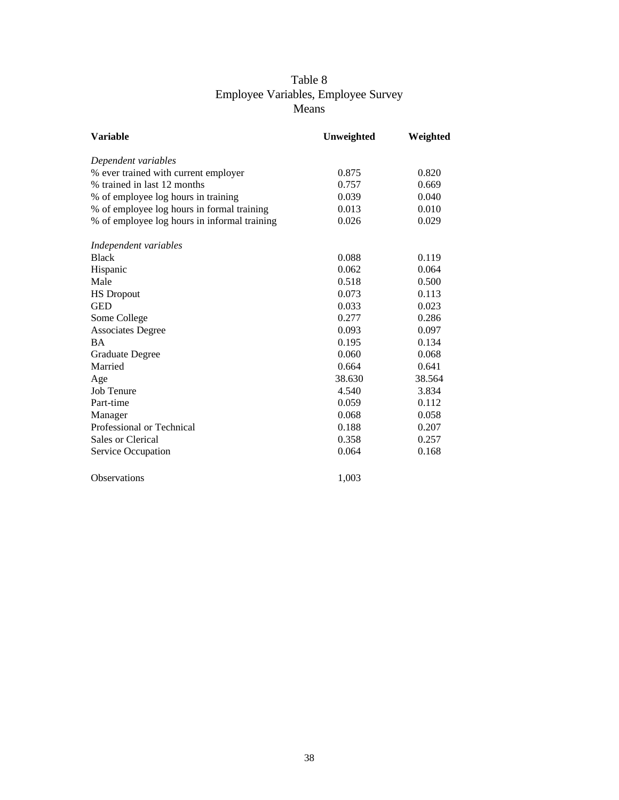## Table 8 Employee Variables, Employee Survey Means

| <b>Variable</b>                              | Unweighted | Weighted |
|----------------------------------------------|------------|----------|
| Dependent variables                          |            |          |
| % ever trained with current employer         | 0.875      | 0.820    |
| % trained in last 12 months                  | 0.757      | 0.669    |
| % of employee log hours in training          | 0.039      | 0.040    |
| % of employee log hours in formal training   | 0.013      | 0.010    |
| % of employee log hours in informal training | 0.026      | 0.029    |
| Independent variables                        |            |          |
| <b>Black</b>                                 | 0.088      | 0.119    |
| Hispanic                                     | 0.062      | 0.064    |
| Male                                         | 0.518      | 0.500    |
| <b>HS</b> Dropout                            | 0.073      | 0.113    |
| <b>GED</b>                                   | 0.033      | 0.023    |
| Some College                                 | 0.277      | 0.286    |
| <b>Associates Degree</b>                     | 0.093      | 0.097    |
| <b>BA</b>                                    | 0.195      | 0.134    |
| <b>Graduate Degree</b>                       | 0.060      | 0.068    |
| Married                                      | 0.664      | 0.641    |
| Age                                          | 38.630     | 38.564   |
| Job Tenure                                   | 4.540      | 3.834    |
| Part-time                                    | 0.059      | 0.112    |
| Manager                                      | 0.068      | 0.058    |
| Professional or Technical                    | 0.188      | 0.207    |
| Sales or Clerical                            | 0.358      | 0.257    |
| Service Occupation                           | 0.064      | 0.168    |
| Observations                                 | 1,003      |          |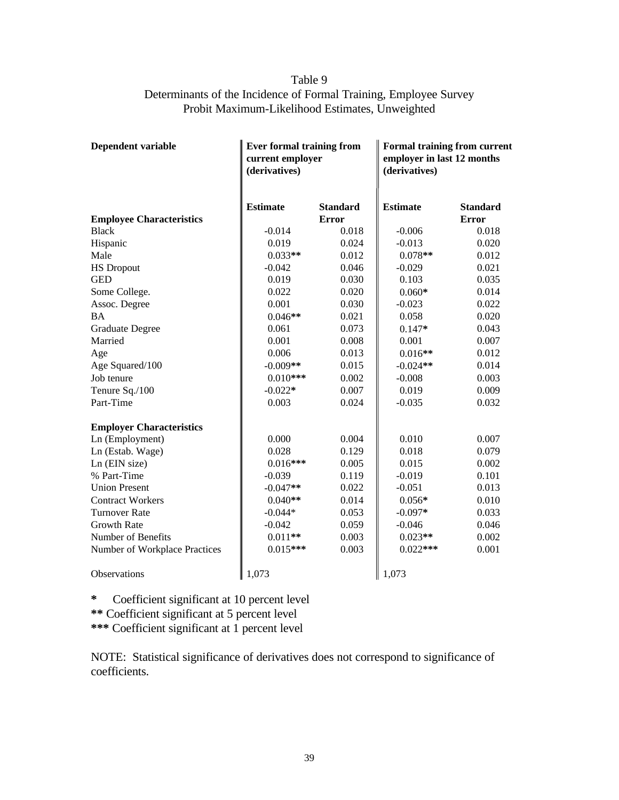## Table 9 Determinants of the Incidence of Formal Training, Employee Survey Probit Maximum-Likelihood Estimates, Unweighted

| <b>Dependent variable</b>       | <b>Ever formal training from</b><br>current employer<br>(derivatives) |                                 | <b>Formal training from current</b><br>employer in last 12 months<br>(derivatives) |                                 |  |
|---------------------------------|-----------------------------------------------------------------------|---------------------------------|------------------------------------------------------------------------------------|---------------------------------|--|
| <b>Employee Characteristics</b> | <b>Estimate</b>                                                       | <b>Standard</b><br><b>Error</b> | <b>Estimate</b>                                                                    | <b>Standard</b><br><b>Error</b> |  |
| <b>Black</b>                    | $-0.014$                                                              | 0.018                           | $-0.006$                                                                           | 0.018                           |  |
| Hispanic                        | 0.019                                                                 | 0.024                           | $-0.013$                                                                           | 0.020                           |  |
| Male                            | $0.033**$                                                             | 0.012                           | $0.078**$                                                                          | 0.012                           |  |
| <b>HS Dropout</b>               | $-0.042$                                                              | 0.046                           | $-0.029$                                                                           | 0.021                           |  |
| <b>GED</b>                      | 0.019                                                                 | 0.030                           | 0.103                                                                              | 0.035                           |  |
| Some College.                   | 0.022                                                                 | 0.020                           | $0.060*$                                                                           | 0.014                           |  |
| Assoc. Degree                   | 0.001                                                                 | 0.030                           | $-0.023$                                                                           | 0.022                           |  |
| <b>BA</b>                       | $0.046**$                                                             | 0.021                           | 0.058                                                                              | 0.020                           |  |
| <b>Graduate Degree</b>          | 0.061                                                                 | 0.073                           | $0.147*$                                                                           | 0.043                           |  |
| Married                         | 0.001                                                                 | 0.008                           | 0.001                                                                              | 0.007                           |  |
| Age                             | 0.006                                                                 | 0.013                           | $0.016**$                                                                          | 0.012                           |  |
| Age Squared/100                 | $-0.009**$                                                            | 0.015                           | $-0.024**$                                                                         | 0.014                           |  |
| Job tenure                      | $0.010***$                                                            | 0.002                           | $-0.008$                                                                           | 0.003                           |  |
| Tenure Sq./100                  | $-0.022*$                                                             | 0.007                           | 0.019                                                                              | 0.009                           |  |
| Part-Time                       | 0.003                                                                 | 0.024                           | $-0.035$                                                                           | 0.032                           |  |
| <b>Employer Characteristics</b> |                                                                       |                                 |                                                                                    |                                 |  |
| Ln (Employment)                 | 0.000                                                                 | 0.004                           | 0.010                                                                              | 0.007                           |  |
| Ln (Estab. Wage)                | 0.028                                                                 | 0.129                           | 0.018                                                                              | 0.079                           |  |
| Ln (EIN size)                   | $0.016***$                                                            | 0.005                           | 0.015                                                                              | 0.002                           |  |
| % Part-Time                     | $-0.039$                                                              | 0.119                           | $-0.019$                                                                           | 0.101                           |  |
| <b>Union Present</b>            | $-0.047**$                                                            | 0.022                           | $-0.051$                                                                           | 0.013                           |  |
| <b>Contract Workers</b>         | $0.040**$                                                             | 0.014                           | $0.056*$                                                                           | 0.010                           |  |
| <b>Turnover Rate</b>            | $-0.044*$                                                             | 0.053                           | $-0.097*$                                                                          | 0.033                           |  |
| <b>Growth Rate</b>              | $-0.042$                                                              | 0.059                           | $-0.046$                                                                           | 0.046                           |  |
| Number of Benefits              | $0.011**$                                                             | 0.003                           | $0.023**$                                                                          | 0.002                           |  |
| Number of Workplace Practices   | $0.015***$                                                            | 0.003                           | $0.022***$                                                                         | 0.001                           |  |
| Observations                    | 1,073                                                                 |                                 | 1,073                                                                              |                                 |  |

**\*** Coefficient significant at 10 percent level

**\*\*** Coefficient significant at 5 percent level

**\*\*\*** Coefficient significant at 1 percent level

NOTE: Statistical significance of derivatives does not correspond to significance of coefficients.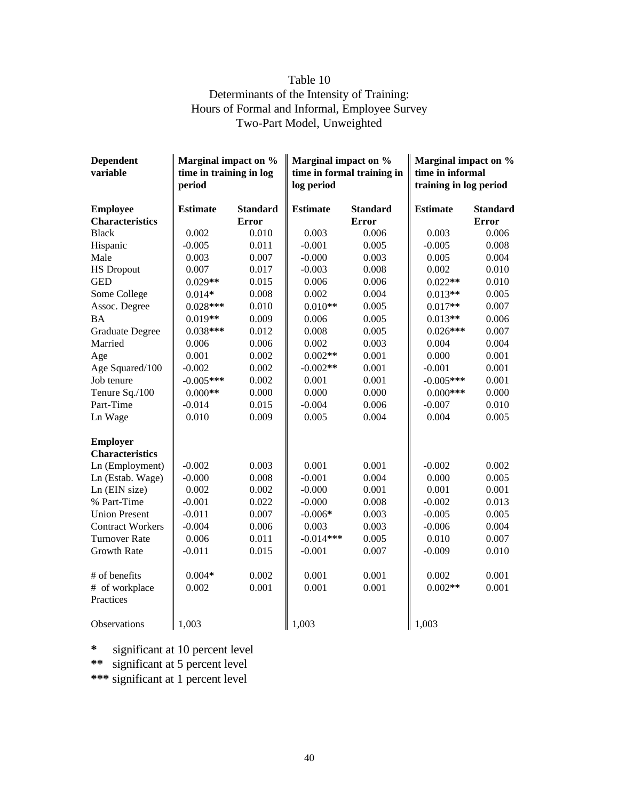## Table 10 Determinants of the Intensity of Training: Hours of Formal and Informal, Employee Survey Two-Part Model, Unweighted

| <b>Dependent</b><br>variable | Marginal impact on %<br>Marginal impact on %<br>time in training in log<br>time in formal training in<br>period<br>log period |                 | Marginal impact on %<br>time in informal<br>training in log period |                 |                 |                 |
|------------------------------|-------------------------------------------------------------------------------------------------------------------------------|-----------------|--------------------------------------------------------------------|-----------------|-----------------|-----------------|
| <b>Employee</b>              | <b>Estimate</b>                                                                                                               | <b>Standard</b> | <b>Estimate</b>                                                    | <b>Standard</b> | <b>Estimate</b> | <b>Standard</b> |
| <b>Characteristics</b>       |                                                                                                                               | <b>Error</b>    |                                                                    | <b>Error</b>    |                 | <b>Error</b>    |
| <b>Black</b>                 | 0.002                                                                                                                         | 0.010           | 0.003                                                              | 0.006           | 0.003           | 0.006           |
| Hispanic                     | $-0.005$                                                                                                                      | 0.011           | $-0.001$                                                           | 0.005           | $-0.005$        | 0.008           |
| Male                         | 0.003                                                                                                                         | 0.007           | $-0.000$                                                           | 0.003           | 0.005           | 0.004           |
| <b>HS Dropout</b>            | 0.007                                                                                                                         | 0.017           | $-0.003$                                                           | 0.008           | 0.002           | 0.010           |
| <b>GED</b>                   | $0.029**$                                                                                                                     | 0.015           | 0.006                                                              | 0.006           | $0.022**$       | 0.010           |
| Some College                 | $0.014*$                                                                                                                      | 0.008           | 0.002                                                              | 0.004           | $0.013**$       | 0.005           |
| Assoc. Degree                | $0.028***$                                                                                                                    | 0.010           | $0.010**$                                                          | 0.005           | $0.017**$       | 0.007           |
| <b>BA</b>                    | $0.019**$                                                                                                                     | 0.009           | 0.006                                                              | 0.005           | $0.013**$       | 0.006           |
| <b>Graduate Degree</b>       | $0.038***$                                                                                                                    | 0.012           | 0.008                                                              | 0.005           | $0.026***$      | 0.007           |
| Married                      | 0.006                                                                                                                         | 0.006           | 0.002                                                              | 0.003           | 0.004           | 0.004           |
| Age                          | 0.001                                                                                                                         | 0.002           | $0.002**$                                                          | 0.001           | 0.000           | 0.001           |
| Age Squared/100              | $-0.002$                                                                                                                      | 0.002           | $-0.002**$                                                         | 0.001           | $-0.001$        | 0.001           |
| Job tenure                   | $-0.005***$                                                                                                                   | 0.002           | 0.001                                                              | 0.001           | $-0.005***$     | 0.001           |
| Tenure Sq./100               | $0.000**$                                                                                                                     | 0.000           | 0.000                                                              | 0.000           | $0.000$ ***     | 0.000           |
| Part-Time                    | $-0.014$                                                                                                                      | 0.015           | $-0.004$                                                           | 0.006           | $-0.007$        | 0.010           |
| Ln Wage                      | 0.010                                                                                                                         | 0.009           | 0.005                                                              | 0.004           | 0.004           | 0.005           |
| <b>Employer</b>              |                                                                                                                               |                 |                                                                    |                 |                 |                 |
| <b>Characteristics</b>       |                                                                                                                               |                 |                                                                    |                 |                 |                 |
| Ln (Employment)              | $-0.002$                                                                                                                      | 0.003           | 0.001                                                              | 0.001           | $-0.002$        | 0.002           |
| Ln (Estab. Wage)             | $-0.000$                                                                                                                      | 0.008           | $-0.001$                                                           | 0.004           | 0.000           | 0.005           |
| Ln (EIN size)                | 0.002<br>$-0.001$                                                                                                             | 0.002           | $-0.000$                                                           | 0.001           | 0.001           | 0.001<br>0.013  |
| % Part-Time                  | $-0.011$                                                                                                                      | 0.022<br>0.007  | $-0.000$                                                           | 0.008<br>0.003  | $-0.002$        | 0.005           |
| <b>Union Present</b>         | $-0.004$                                                                                                                      | 0.006           | $-0.006*$                                                          |                 | $-0.005$        |                 |
| <b>Contract Workers</b>      |                                                                                                                               |                 | 0.003                                                              | 0.003           | $-0.006$        | 0.004           |
| <b>Turnover Rate</b>         | 0.006                                                                                                                         | 0.011           | $-0.014***$                                                        | 0.005           | 0.010           | 0.007           |
| <b>Growth Rate</b>           | $-0.011$                                                                                                                      | 0.015           | $-0.001$                                                           | 0.007           | $-0.009$        | 0.010           |
| # of benefits                | $0.004*$                                                                                                                      | 0.002           | 0.001                                                              | 0.001           | 0.002           | 0.001           |
| # of workplace               | 0.002                                                                                                                         | 0.001           | 0.001                                                              | 0.001           | $0.002**$       | 0.001           |
| Practices                    |                                                                                                                               |                 |                                                                    |                 |                 |                 |
| Observations                 | 1,003                                                                                                                         |                 | 1,003                                                              |                 | 1,003           |                 |

**\*** significant at 10 percent level

**\*\*** significant at 5 percent level

**\*\*\*** significant at 1 percent level